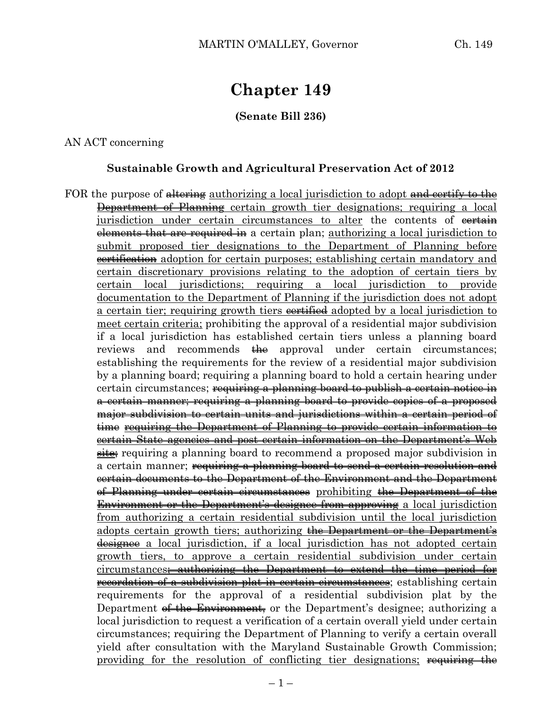# **Chapter 149**

# **(Senate Bill 236)**

#### AN ACT concerning

#### **Sustainable Growth and Agricultural Preservation Act of 2012**

FOR the purpose of altering authorizing a local jurisdiction to adopt and certify to the Department of Planning certain growth tier designations; requiring a local jurisdiction under certain circumstances to alter the contents of evertain elements that are required in a certain plan; authorizing a local jurisdiction to submit proposed tier designations to the Department of Planning before **certification** adoption for certain purposes; establishing certain mandatory and certain discretionary provisions relating to the adoption of certain tiers by certain local jurisdictions; requiring a local jurisdiction to provide documentation to the Department of Planning if the jurisdiction does not adopt a certain tier; requiring growth tiers certified adopted by a local jurisdiction to meet certain criteria; prohibiting the approval of a residential major subdivision if a local jurisdiction has established certain tiers unless a planning board reviews and recommends the approval under certain circumstances; establishing the requirements for the review of a residential major subdivision by a planning board; requiring a planning board to hold a certain hearing under certain circumstances; requiring a planning board to publish a certain notice in a certain manner; requiring a planning board to provide copies of a proposed major subdivision to certain units and jurisdictions within a certain period of time requiring the Department of Planning to provide certain information to certain State agencies and post certain information on the Department's Web site; requiring a planning board to recommend a proposed major subdivision in a certain manner; <del>requiring a planning board to send a certain resolution and</del> certain documents to the Department of the Environment and the Department of Planning under certain circumstances prohibiting the Department of the Environment or the Department's designee from approving a local jurisdiction from authorizing a certain residential subdivision until the local jurisdiction adopts certain growth tiers; authorizing the Department or the Department's designee a local jurisdiction, if a local jurisdiction has not adopted certain growth tiers, to approve a certain residential subdivision under certain circumstances; authorizing the Department to extend the time period for recordation of a subdivision plat in certain circumstances; establishing certain requirements for the approval of a residential subdivision plat by the Department <del>of the Environment,</del> or the Department's designee; authorizing a local jurisdiction to request a verification of a certain overall yield under certain circumstances; requiring the Department of Planning to verify a certain overall yield after consultation with the Maryland Sustainable Growth Commission; providing for the resolution of conflicting tier designations; requiring the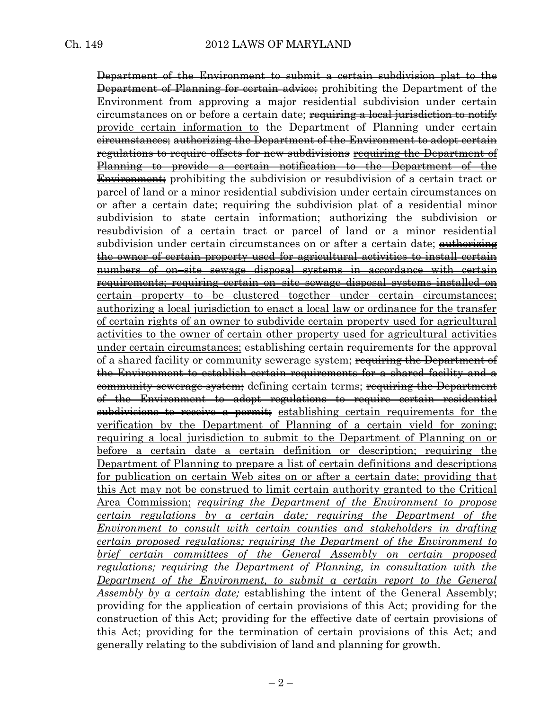Department of the Environment to submit a certain subdivision plat to the Department of Planning for certain advice; prohibiting the Department of the Environment from approving a major residential subdivision under certain circumstances on or before a certain date; <del>requiring a local jurisdiction to notify</del> provide certain information to the Department of Planning under certain circumstances; authorizing the Department of the Environment to adopt certain regulations to require offsets for new subdivisions requiring the Department of Planning to provide a certain notification to the Department of the Environment; prohibiting the subdivision or resubdivision of a certain tract or parcel of land or a minor residential subdivision under certain circumstances on or after a certain date; requiring the subdivision plat of a residential minor subdivision to state certain information; authorizing the subdivision or resubdivision of a certain tract or parcel of land or a minor residential subdivision under certain circumstances on or after a certain date; with the single the owner of certain property used for agricultural activities to install certain numbers of on–site sewage disposal systems in accordance with certain requirements; requiring certain on–site sewage disposal systems installed on certain property to be clustered together under certain circumstances; authorizing a local jurisdiction to enact a local law or ordinance for the transfer of certain rights of an owner to subdivide certain property used for agricultural activities to the owner of certain other property used for agricultural activities under certain circumstances; establishing certain requirements for the approval of a shared facility or community sewerage system; requiring the Department of the Environment to establish certain requirements for a shared facility and a community sewerage system; defining certain terms; requiring the Department of the Environment to adopt regulations to require certain residential subdivisions to receive a permit; establishing certain requirements for the verification by the Department of Planning of a certain yield for zoning; requiring a local jurisdiction to submit to the Department of Planning on or before a certain date a certain definition or description; requiring the Department of Planning to prepare a list of certain definitions and descriptions for publication on certain Web sites on or after a certain date; providing that this Act may not be construed to limit certain authority granted to the Critical Area Commission; *requiring the Department of the Environment to propose certain regulations by a certain date; requiring the Department of the Environment to consult with certain counties and stakeholders in drafting certain proposed regulations; requiring the Department of the Environment to brief certain committees of the General Assembly on certain proposed regulations; requiring the Department of Planning, in consultation with the Department of the Environment, to submit a certain report to the General Assembly by a certain date;* establishing the intent of the General Assembly; providing for the application of certain provisions of this Act; providing for the construction of this Act; providing for the effective date of certain provisions of this Act; providing for the termination of certain provisions of this Act; and generally relating to the subdivision of land and planning for growth.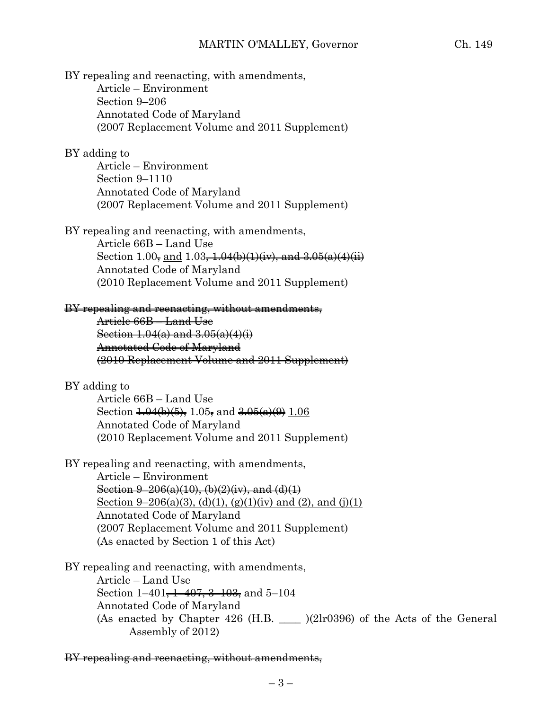BY repealing and reenacting, with amendments, Article – Environment Section 9–206 Annotated Code of Maryland (2007 Replacement Volume and 2011 Supplement)

### BY adding to

Article – Environment Section 9–1110 Annotated Code of Maryland (2007 Replacement Volume and 2011 Supplement)

BY repealing and reenacting, with amendments,

Article 66B – Land Use Section 1.00, and 1.03,  $\frac{1.04(b)(1)(iv)}{iv}$ , and  $\frac{3.05(a)(4)(ii)}{iv}$ Annotated Code of Maryland (2010 Replacement Volume and 2011 Supplement)

#### BY repealing and reenacting, without amendments,

Article 66B – Land Use Section  $1.04(a)$  and  $3.05(a)(4)(i)$ Annotated Code of Maryland (2010 Replacement Volume and 2011 Supplement)

#### BY adding to

Article 66B – Land Use Section  $\frac{1.04(b)(5)}{5}$ , 1.05, and  $\frac{3.05(a)(9)}{2}$  1.06 Annotated Code of Maryland (2010 Replacement Volume and 2011 Supplement)

BY repealing and reenacting, with amendments,

Article – Environment Section  $9-206(a)(10)$ , (b) $(2)(iv)$ , and  $(d)(1)$ Section 9–206(a)(3), (d)(1), (g)(1)(iv) and (2), and (j)(1) Annotated Code of Maryland (2007 Replacement Volume and 2011 Supplement) (As enacted by Section 1 of this Act)

BY repealing and reenacting, with amendments, Article – Land Use Section 1–401<del>, 1–407, 3–103,</del> and 5–104 Annotated Code of Maryland (As enacted by Chapter  $426$  (H.B.  $\qquad$  )(2lr0396) of the Acts of the General Assembly of 2012)

BY repealing and reenacting, without amendments,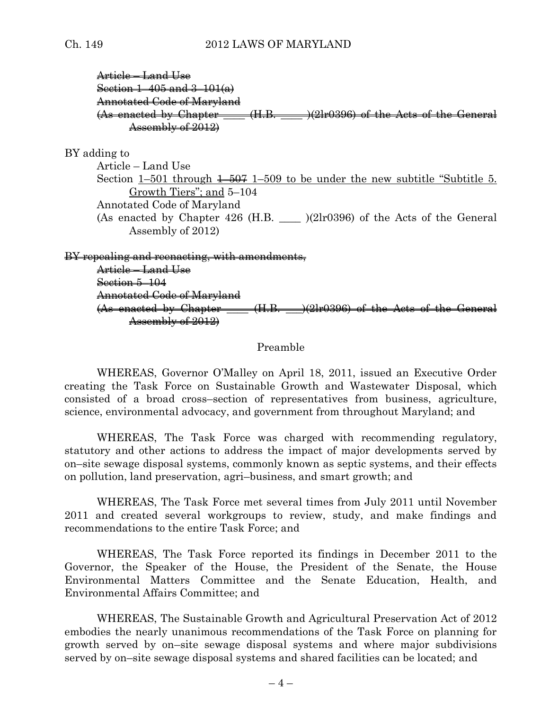# Article – Land Use Section 1–405 and 3–101(a) Annotated Code of Maryland  $(As$  enacted by Chapter  $(H.B. \_ \_ \)$  (2lr0396) of the Acts of the General Assembly of 2012)

#### BY adding to

Article – Land Use Section 1–501 through  $\frac{1-507}{1-509}$  to be under the new subtitle "Subtitle 5. Growth Tiers"; and 5–104 Annotated Code of Maryland (As enacted by Chapter  $426$  (H.B.  $\qquad$  )(2lr0396) of the Acts of the General Assembly of 2012)

BY repealing and reenacting, with amendments,

Article – Land Use Section 5–104 Annotated Code of Maryland  $(As$  enacted by Chapter  $(H.B. \rightarrow )$ (2lr0396) of the Acts of the General Assembly of 2012)

### Preamble

WHEREAS, Governor O'Malley on April 18, 2011, issued an Executive Order creating the Task Force on Sustainable Growth and Wastewater Disposal, which consisted of a broad cross–section of representatives from business, agriculture, science, environmental advocacy, and government from throughout Maryland; and

WHEREAS, The Task Force was charged with recommending regulatory, statutory and other actions to address the impact of major developments served by on–site sewage disposal systems, commonly known as septic systems, and their effects on pollution, land preservation, agri–business, and smart growth; and

WHEREAS, The Task Force met several times from July 2011 until November 2011 and created several workgroups to review, study, and make findings and recommendations to the entire Task Force; and

WHEREAS, The Task Force reported its findings in December 2011 to the Governor, the Speaker of the House, the President of the Senate, the House Environmental Matters Committee and the Senate Education, Health, and Environmental Affairs Committee; and

WHEREAS, The Sustainable Growth and Agricultural Preservation Act of 2012 embodies the nearly unanimous recommendations of the Task Force on planning for growth served by on–site sewage disposal systems and where major subdivisions served by on–site sewage disposal systems and shared facilities can be located; and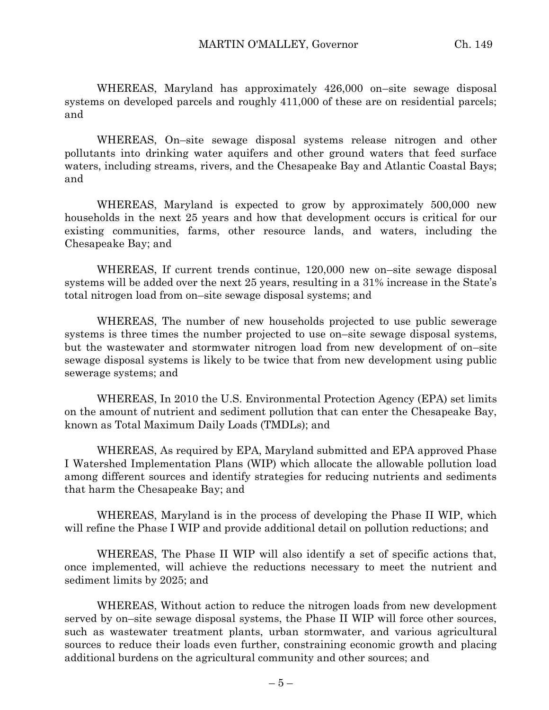WHEREAS, Maryland has approximately 426,000 on–site sewage disposal systems on developed parcels and roughly 411,000 of these are on residential parcels; and

WHEREAS, On–site sewage disposal systems release nitrogen and other pollutants into drinking water aquifers and other ground waters that feed surface waters, including streams, rivers, and the Chesapeake Bay and Atlantic Coastal Bays; and

WHEREAS, Maryland is expected to grow by approximately 500,000 new households in the next 25 years and how that development occurs is critical for our existing communities, farms, other resource lands, and waters, including the Chesapeake Bay; and

WHEREAS, If current trends continue, 120,000 new on–site sewage disposal systems will be added over the next 25 years, resulting in a 31% increase in the State's total nitrogen load from on–site sewage disposal systems; and

WHEREAS, The number of new households projected to use public sewerage systems is three times the number projected to use on–site sewage disposal systems, but the wastewater and stormwater nitrogen load from new development of on–site sewage disposal systems is likely to be twice that from new development using public sewerage systems; and

WHEREAS, In 2010 the U.S. Environmental Protection Agency (EPA) set limits on the amount of nutrient and sediment pollution that can enter the Chesapeake Bay, known as Total Maximum Daily Loads (TMDLs); and

WHEREAS, As required by EPA, Maryland submitted and EPA approved Phase I Watershed Implementation Plans (WIP) which allocate the allowable pollution load among different sources and identify strategies for reducing nutrients and sediments that harm the Chesapeake Bay; and

WHEREAS, Maryland is in the process of developing the Phase II WIP, which will refine the Phase I WIP and provide additional detail on pollution reductions; and

WHEREAS, The Phase II WIP will also identify a set of specific actions that, once implemented, will achieve the reductions necessary to meet the nutrient and sediment limits by 2025; and

WHEREAS, Without action to reduce the nitrogen loads from new development served by on–site sewage disposal systems, the Phase II WIP will force other sources, such as wastewater treatment plants, urban stormwater, and various agricultural sources to reduce their loads even further, constraining economic growth and placing additional burdens on the agricultural community and other sources; and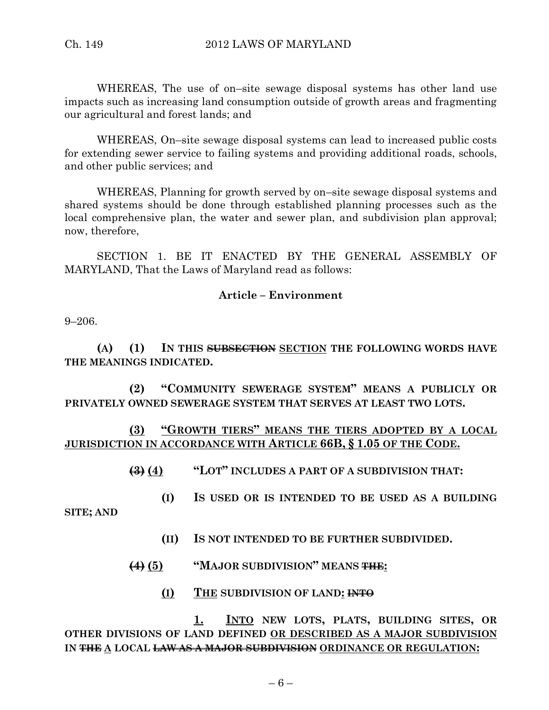WHEREAS, The use of on–site sewage disposal systems has other land use impacts such as increasing land consumption outside of growth areas and fragmenting our agricultural and forest lands; and

WHEREAS, On–site sewage disposal systems can lead to increased public costs for extending sewer service to failing systems and providing additional roads, schools, and other public services; and

WHEREAS, Planning for growth served by on–site sewage disposal systems and shared systems should be done through established planning processes such as the local comprehensive plan, the water and sewer plan, and subdivision plan approval; now, therefore,

SECTION 1. BE IT ENACTED BY THE GENERAL ASSEMBLY OF MARYLAND, That the Laws of Maryland read as follows:

# **Article – Environment**

9–206.

**(A) (1) IN THIS SUBSECTION SECTION THE FOLLOWING WORDS HAVE THE MEANINGS INDICATED.**

**(2) "COMMUNITY SEWERAGE SYSTEM" MEANS A PUBLICLY OR PRIVATELY OWNED SEWERAGE SYSTEM THAT SERVES AT LEAST TWO LOTS.**

**(3) "GROWTH TIERS" MEANS THE TIERS ADOPTED BY A LOCAL JURISDICTION IN ACCORDANCE WITH ARTICLE 66B, § 1.05 OF THE CODE.**

**(3) (4) "LOT" INCLUDES A PART OF A SUBDIVISION THAT:**

**(I) IS USED OR IS INTENDED TO BE USED AS A BUILDING** 

**SITE; AND**

- **(II) IS NOT INTENDED TO BE FURTHER SUBDIVIDED.**
- **(4) (5) "MAJOR SUBDIVISION" MEANS THE:**
	- **(I) THE SUBDIVISION OF LAND: INTO**

**1. INTO NEW LOTS, PLATS, BUILDING SITES, OR OTHER DIVISIONS OF LAND DEFINED OR DESCRIBED AS A MAJOR SUBDIVISION IN THE A LOCAL LAW AS A MAJOR SUBDIVISION ORDINANCE OR REGULATION:**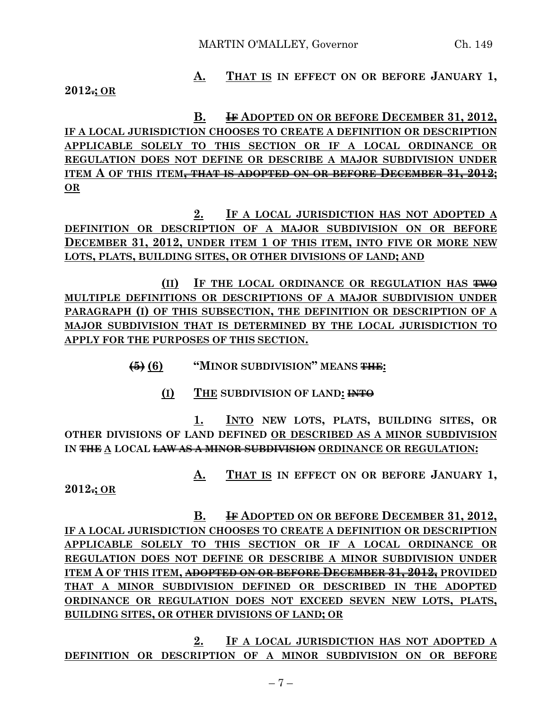# **A. THAT IS IN EFFECT ON OR BEFORE JANUARY 1,**

**2012.; OR**

**B. IF ADOPTED ON OR BEFORE DECEMBER 31, 2012, IF A LOCAL JURISDICTION CHOOSES TO CREATE A DEFINITION OR DESCRIPTION APPLICABLE SOLELY TO THIS SECTION OR IF A LOCAL ORDINANCE OR REGULATION DOES NOT DEFINE OR DESCRIBE A MAJOR SUBDIVISION UNDER ITEM A OF THIS ITEM, THAT IS ADOPTED ON OR BEFORE DECEMBER 31, 2012; OR**

**2. IF A LOCAL JURISDICTION HAS NOT ADOPTED A DEFINITION OR DESCRIPTION OF A MAJOR SUBDIVISION ON OR BEFORE DECEMBER 31, 2012, UNDER ITEM 1 OF THIS ITEM, INTO FIVE OR MORE NEW LOTS, PLATS, BUILDING SITES, OR OTHER DIVISIONS OF LAND; AND**

**(II) IF THE LOCAL ORDINANCE OR REGULATION HAS TWO MULTIPLE DEFINITIONS OR DESCRIPTIONS OF A MAJOR SUBDIVISION UNDER PARAGRAPH (I) OF THIS SUBSECTION, THE DEFINITION OR DESCRIPTION OF A MAJOR SUBDIVISION THAT IS DETERMINED BY THE LOCAL JURISDICTION TO APPLY FOR THE PURPOSES OF THIS SECTION.**

**(5) (6) "MINOR SUBDIVISION" MEANS THE:**

**(I) THE SUBDIVISION OF LAND: INTO**

**1. INTO NEW LOTS, PLATS, BUILDING SITES, OR OTHER DIVISIONS OF LAND DEFINED OR DESCRIBED AS A MINOR SUBDIVISION IN THE A LOCAL LAW AS A MINOR SUBDIVISION ORDINANCE OR REGULATION:**

**A. THAT IS IN EFFECT ON OR BEFORE JANUARY 1,**

**2012.; OR**

**B. IF ADOPTED ON OR BEFORE DECEMBER 31, 2012, IF A LOCAL JURISDICTION CHOOSES TO CREATE A DEFINITION OR DESCRIPTION APPLICABLE SOLELY TO THIS SECTION OR IF A LOCAL ORDINANCE OR REGULATION DOES NOT DEFINE OR DESCRIBE A MINOR SUBDIVISION UNDER ITEM A OF THIS ITEM, ADOPTED ON OR BEFORE DECEMBER 31, 2012, PROVIDED THAT A MINOR SUBDIVISION DEFINED OR DESCRIBED IN THE ADOPTED ORDINANCE OR REGULATION DOES NOT EXCEED SEVEN NEW LOTS, PLATS, BUILDING SITES, OR OTHER DIVISIONS OF LAND; OR**

**2. IF A LOCAL JURISDICTION HAS NOT ADOPTED A DEFINITION OR DESCRIPTION OF A MINOR SUBDIVISION ON OR BEFORE**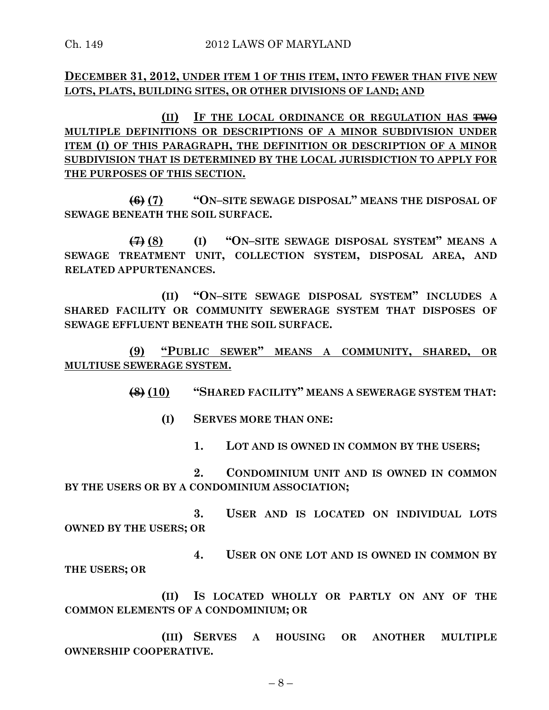**DECEMBER 31, 2012, UNDER ITEM 1 OF THIS ITEM, INTO FEWER THAN FIVE NEW LOTS, PLATS, BUILDING SITES, OR OTHER DIVISIONS OF LAND; AND** 

**(II) IF THE LOCAL ORDINANCE OR REGULATION HAS TWO MULTIPLE DEFINITIONS OR DESCRIPTIONS OF A MINOR SUBDIVISION UNDER ITEM (I) OF THIS PARAGRAPH, THE DEFINITION OR DESCRIPTION OF A MINOR SUBDIVISION THAT IS DETERMINED BY THE LOCAL JURISDICTION TO APPLY FOR THE PURPOSES OF THIS SECTION.**

**(6) (7) "ON–SITE SEWAGE DISPOSAL" MEANS THE DISPOSAL OF SEWAGE BENEATH THE SOIL SURFACE.**

**(7) (8) (I) "ON–SITE SEWAGE DISPOSAL SYSTEM" MEANS A SEWAGE TREATMENT UNIT, COLLECTION SYSTEM, DISPOSAL AREA, AND RELATED APPURTENANCES.**

**(II) "ON–SITE SEWAGE DISPOSAL SYSTEM" INCLUDES A SHARED FACILITY OR COMMUNITY SEWERAGE SYSTEM THAT DISPOSES OF SEWAGE EFFLUENT BENEATH THE SOIL SURFACE.**

**(9) "PUBLIC SEWER" MEANS A COMMUNITY, SHARED, OR MULTIUSE SEWERAGE SYSTEM.**

**(8) (10) "SHARED FACILITY" MEANS A SEWERAGE SYSTEM THAT:**

**(I) SERVES MORE THAN ONE:**

**1. LOT AND IS OWNED IN COMMON BY THE USERS;**

**2. CONDOMINIUM UNIT AND IS OWNED IN COMMON BY THE USERS OR BY A CONDOMINIUM ASSOCIATION;**

**3. USER AND IS LOCATED ON INDIVIDUAL LOTS OWNED BY THE USERS; OR**

**4. USER ON ONE LOT AND IS OWNED IN COMMON BY THE USERS; OR**

**(II) IS LOCATED WHOLLY OR PARTLY ON ANY OF THE COMMON ELEMENTS OF A CONDOMINIUM; OR**

**(III) SERVES A HOUSING OR ANOTHER MULTIPLE OWNERSHIP COOPERATIVE.**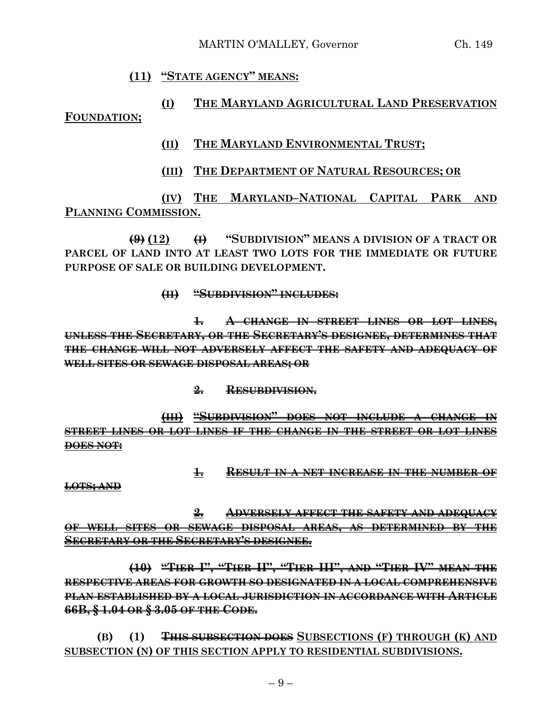# **(11) "STATE AGENCY" MEANS:**

**(I) THE MARYLAND AGRICULTURAL LAND PRESERVATION FOUNDATION;**

- **(II) THE MARYLAND ENVIRONMENTAL TRUST;**
- **(III) THE DEPARTMENT OF NATURAL RESOURCES; OR**

**(IV) THE MARYLAND–NATIONAL CAPITAL PARK AND PLANNING COMMISSION.**

**(9) (12) (I) "SUBDIVISION" MEANS A DIVISION OF A TRACT OR PARCEL OF LAND INTO AT LEAST TWO LOTS FOR THE IMMEDIATE OR FUTURE PURPOSE OF SALE OR BUILDING DEVELOPMENT.**

#### **(II) "SUBDIVISION" INCLUDES:**

**1. A CHANGE IN STREET LINES OR LOT LINES, UNLESS THE SECRETARY, OR THE SECRETARY'S DESIGNEE, DETERMINES THAT THE CHANGE WILL NOT ADVERSELY AFFECT THE SAFETY AND ADEQUACY OF WELL SITES OR SEWAGE DISPOSAL AREAS; OR**

**2. RESUBDIVISION.**

**(III) "SUBDIVISION" DOES NOT INCLUDE A CHANGE IN STREET LINES OR LOT LINES IF THE CHANGE IN THE STREET OR LOT LINES DOES NOT:**

**1. RESULT IN A NET INCREASE IN THE NUMBER OF**

**LOTS; AND**

**2. ADVERSELY AFFECT THE SAFETY AND ADEQUACY OF WELL SITES OR SEWAGE DISPOSAL AREAS, AS DETERMINED BY THE SECRETARY OR THE SECRETARY'S DESIGNEE.**

**(10) "TIER I", "TIER II", "TIER III", AND "TIER IV" MEAN THE RESPECTIVE AREAS FOR GROWTH SO DESIGNATED IN A LOCAL COMPREHENSIVE PLAN ESTABLISHED BY A LOCAL JURISDICTION IN ACCORDANCE WITH ARTICLE 66B, § 1.04 OR § 3.05 OF THE CODE.**

**(B) (1) THIS SUBSECTION DOES SUBSECTIONS (F) THROUGH (K) AND SUBSECTION (N) OF THIS SECTION APPLY TO RESIDENTIAL SUBDIVISIONS.**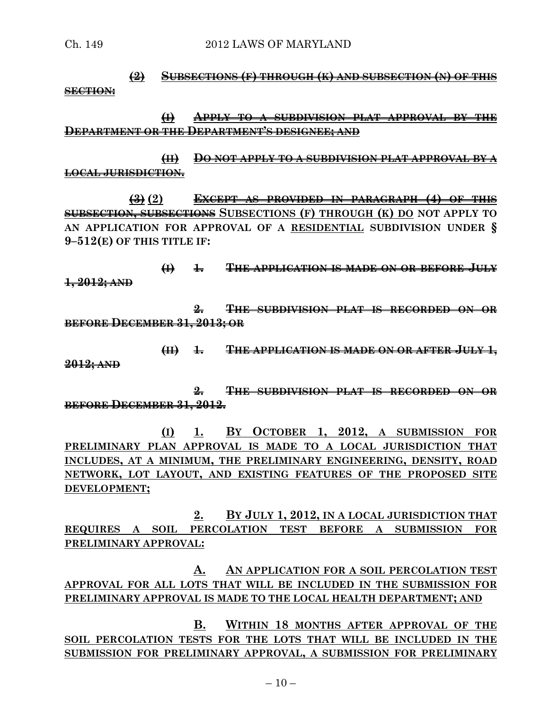# **(2) SUBSECTIONS (F) THROUGH (K) AND SUBSECTION (N) OF THIS SECTION:**

**(I) APPLY TO A SUBDIVISION PLAT APPROVAL BY THE DEPARTMENT OR THE DEPARTMENT'S DESIGNEE; AND**

**(II) DO NOT APPLY TO A SUBDIVISION PLAT APPROVAL BY A LOCAL JURISDICTION.**

**(3) (2) EXCEPT AS PROVIDED IN PARAGRAPH (4) OF THIS SUBSECTION, SUBSECTIONS SUBSECTIONS (F) THROUGH (K) DO NOT APPLY TO AN APPLICATION FOR APPROVAL OF A RESIDENTIAL SUBDIVISION UNDER § 9–512(E) OF THIS TITLE IF:**

**(I) 1. THE APPLICATION IS MADE ON OR BEFORE JULY 1, 2012; AND**

**2. THE SUBDIVISION PLAT IS RECORDED ON OR BEFORE DECEMBER 31, 2013; OR**

**(II) 1. THE APPLICATION IS MADE ON OR AFTER JULY 1, 2012; AND**

**2. THE SUBDIVISION PLAT IS RECORDED ON OR BEFORE DECEMBER 31, 2012.**

**(I) 1. BY OCTOBER 1, 2012, A SUBMISSION FOR PRELIMINARY PLAN APPROVAL IS MADE TO A LOCAL JURISDICTION THAT INCLUDES, AT A MINIMUM, THE PRELIMINARY ENGINEERING, DENSITY, ROAD NETWORK, LOT LAYOUT, AND EXISTING FEATURES OF THE PROPOSED SITE DEVELOPMENT;**

**2. BY JULY 1, 2012, IN A LOCAL JURISDICTION THAT REQUIRES A SOIL PERCOLATION TEST BEFORE A SUBMISSION FOR PRELIMINARY APPROVAL:**

**A. AN APPLICATION FOR A SOIL PERCOLATION TEST APPROVAL FOR ALL LOTS THAT WILL BE INCLUDED IN THE SUBMISSION FOR PRELIMINARY APPROVAL IS MADE TO THE LOCAL HEALTH DEPARTMENT; AND**

**B. WITHIN 18 MONTHS AFTER APPROVAL OF THE SOIL PERCOLATION TESTS FOR THE LOTS THAT WILL BE INCLUDED IN THE SUBMISSION FOR PRELIMINARY APPROVAL, A SUBMISSION FOR PRELIMINARY**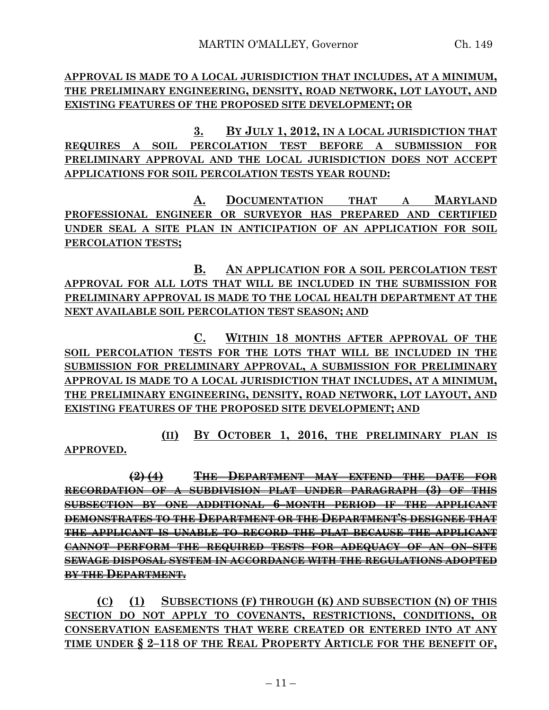**APPROVAL IS MADE TO A LOCAL JURISDICTION THAT INCLUDES, AT A MINIMUM, THE PRELIMINARY ENGINEERING, DENSITY, ROAD NETWORK, LOT LAYOUT, AND EXISTING FEATURES OF THE PROPOSED SITE DEVELOPMENT; OR**

**3. BY JULY 1, 2012, IN A LOCAL JURISDICTION THAT REQUIRES A SOIL PERCOLATION TEST BEFORE A SUBMISSION FOR PRELIMINARY APPROVAL AND THE LOCAL JURISDICTION DOES NOT ACCEPT APPLICATIONS FOR SOIL PERCOLATION TESTS YEAR ROUND:**

**A. DOCUMENTATION THAT A MARYLAND PROFESSIONAL ENGINEER OR SURVEYOR HAS PREPARED AND CERTIFIED UNDER SEAL A SITE PLAN IN ANTICIPATION OF AN APPLICATION FOR SOIL PERCOLATION TESTS;**

**B. AN APPLICATION FOR A SOIL PERCOLATION TEST APPROVAL FOR ALL LOTS THAT WILL BE INCLUDED IN THE SUBMISSION FOR PRELIMINARY APPROVAL IS MADE TO THE LOCAL HEALTH DEPARTMENT AT THE NEXT AVAILABLE SOIL PERCOLATION TEST SEASON; AND**

**C. WITHIN 18 MONTHS AFTER APPROVAL OF THE SOIL PERCOLATION TESTS FOR THE LOTS THAT WILL BE INCLUDED IN THE SUBMISSION FOR PRELIMINARY APPROVAL, A SUBMISSION FOR PRELIMINARY APPROVAL IS MADE TO A LOCAL JURISDICTION THAT INCLUDES, AT A MINIMUM, THE PRELIMINARY ENGINEERING, DENSITY, ROAD NETWORK, LOT LAYOUT, AND EXISTING FEATURES OF THE PROPOSED SITE DEVELOPMENT; AND**

**(II) BY OCTOBER 1, 2016, THE PRELIMINARY PLAN IS** 

**APPROVED.**

**(2) (4) THE DEPARTMENT MAY EXTEND THE DATE FOR RECORDATION OF A SUBDIVISION PLAT UNDER PARAGRAPH (3) OF THIS SUBSECTION BY ONE ADDITIONAL 6–MONTH PERIOD IF THE APPLICANT DEMONSTRATES TO THE DEPARTMENT OR THE DEPARTMENT'S DESIGNEE THAT THE APPLICANT IS UNABLE TO RECORD THE PLAT BECAUSE THE APPLICANT CANNOT PERFORM THE REQUIRED TESTS FOR ADEQUACY OF AN ON–SITE SEWAGE DISPOSAL SYSTEM IN ACCORDANCE WITH THE REGULATIONS ADOPTED BY THE DEPARTMENT.**

**(C) (1) SUBSECTIONS (F) THROUGH (K) AND SUBSECTION (N) OF THIS SECTION DO NOT APPLY TO COVENANTS, RESTRICTIONS, CONDITIONS, OR CONSERVATION EASEMENTS THAT WERE CREATED OR ENTERED INTO AT ANY TIME UNDER § 2–118 OF THE REAL PROPERTY ARTICLE FOR THE BENEFIT OF,**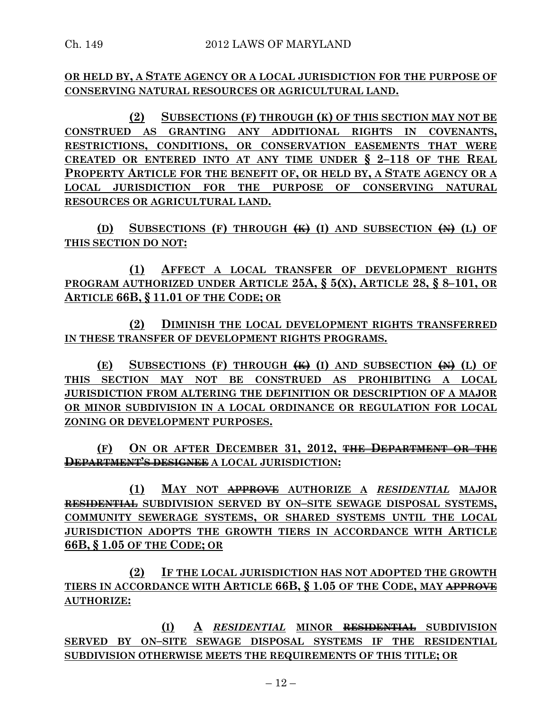# **OR HELD BY, A STATE AGENCY OR A LOCAL JURISDICTION FOR THE PURPOSE OF CONSERVING NATURAL RESOURCES OR AGRICULTURAL LAND.**

**(2) SUBSECTIONS (F) THROUGH (K) OF THIS SECTION MAY NOT BE CONSTRUED AS GRANTING ANY ADDITIONAL RIGHTS IN COVENANTS, RESTRICTIONS, CONDITIONS, OR CONSERVATION EASEMENTS THAT WERE CREATED OR ENTERED INTO AT ANY TIME UNDER § 2–118 OF THE REAL PROPERTY ARTICLE FOR THE BENEFIT OF, OR HELD BY, A STATE AGENCY OR A LOCAL JURISDICTION FOR THE PURPOSE OF CONSERVING NATURAL RESOURCES OR AGRICULTURAL LAND.**

**(D) SUBSECTIONS (F) THROUGH (K) (I) AND SUBSECTION (N) (L) OF THIS SECTION DO NOT:**

**(1) AFFECT A LOCAL TRANSFER OF DEVELOPMENT RIGHTS PROGRAM AUTHORIZED UNDER ARTICLE 25A, § 5(X), ARTICLE 28, § 8–101, OR ARTICLE 66B, § 11.01 OF THE CODE; OR**

**(2) DIMINISH THE LOCAL DEVELOPMENT RIGHTS TRANSFERRED IN THESE TRANSFER OF DEVELOPMENT RIGHTS PROGRAMS.**

**(E) SUBSECTIONS (F) THROUGH (K) (I) AND SUBSECTION (N) (L) OF THIS SECTION MAY NOT BE CONSTRUED AS PROHIBITING A LOCAL JURISDICTION FROM ALTERING THE DEFINITION OR DESCRIPTION OF A MAJOR OR MINOR SUBDIVISION IN A LOCAL ORDINANCE OR REGULATION FOR LOCAL ZONING OR DEVELOPMENT PURPOSES.**

**(F) ON OR AFTER DECEMBER 31, 2012, THE DEPARTMENT OR THE DEPARTMENT'S DESIGNEE A LOCAL JURISDICTION:**

**(1) MAY NOT APPROVE AUTHORIZE A** *RESIDENTIAL* **MAJOR RESIDENTIAL SUBDIVISION SERVED BY ON–SITE SEWAGE DISPOSAL SYSTEMS, COMMUNITY SEWERAGE SYSTEMS, OR SHARED SYSTEMS UNTIL THE LOCAL JURISDICTION ADOPTS THE GROWTH TIERS IN ACCORDANCE WITH ARTICLE 66B, § 1.05 OF THE CODE; OR**

**(2) IF THE LOCAL JURISDICTION HAS NOT ADOPTED THE GROWTH TIERS IN ACCORDANCE WITH ARTICLE 66B, § 1.05 OF THE CODE, MAY APPROVE AUTHORIZE:**

**(I) A** *RESIDENTIAL* **MINOR RESIDENTIAL SUBDIVISION SERVED BY ON–SITE SEWAGE DISPOSAL SYSTEMS IF THE RESIDENTIAL SUBDIVISION OTHERWISE MEETS THE REQUIREMENTS OF THIS TITLE; OR**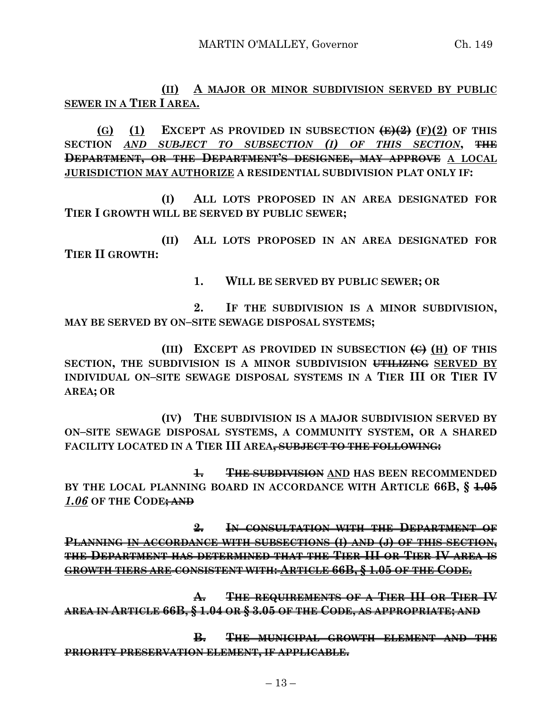**(II) A MAJOR OR MINOR SUBDIVISION SERVED BY PUBLIC SEWER IN A TIER I AREA.**

**(G) (1) EXCEPT AS PROVIDED IN SUBSECTION**  $\overline{\text{E}(\text{E} \cdot \text{E})}$  **<b>(F)(2) OF THIS SECTION** *AND SUBJECT TO SUBSECTION (I) OF THIS SECTION***, THE DEPARTMENT, OR THE DEPARTMENT'S DESIGNEE, MAY APPROVE A LOCAL JURISDICTION MAY AUTHORIZE A RESIDENTIAL SUBDIVISION PLAT ONLY IF:**

**(I) ALL LOTS PROPOSED IN AN AREA DESIGNATED FOR TIER I GROWTH WILL BE SERVED BY PUBLIC SEWER;**

**(II) ALL LOTS PROPOSED IN AN AREA DESIGNATED FOR TIER II GROWTH:**

**1. WILL BE SERVED BY PUBLIC SEWER; OR**

**2. IF THE SUBDIVISION IS A MINOR SUBDIVISION, MAY BE SERVED BY ON–SITE SEWAGE DISPOSAL SYSTEMS;**

**(III) EXCEPT AS PROVIDED IN SUBSECTION (C) (H) OF THIS SECTION, THE SUBDIVISION IS A MINOR SUBDIVISION UTILIZING SERVED BY INDIVIDUAL ON–SITE SEWAGE DISPOSAL SYSTEMS IN A TIER III OR TIER IV AREA; OR**

**(IV) THE SUBDIVISION IS A MAJOR SUBDIVISION SERVED BY ON–SITE SEWAGE DISPOSAL SYSTEMS, A COMMUNITY SYSTEM, OR A SHARED FACILITY LOCATED IN A TIER III AREA, SUBJECT TO THE FOLLOWING:**

**1. THE SUBDIVISION AND HAS BEEN RECOMMENDED BY THE LOCAL PLANNING BOARD IN ACCORDANCE WITH ARTICLE 66B, § 1.05** *1.06* **OF THE CODE; AND**

**2. IN CONSULTATION WITH THE DEPARTMENT OF PLANNING IN ACCORDANCE WITH SUBSECTIONS (I) AND (J) OF THIS SECTION, THE DEPARTMENT HAS DETERMINED THAT THE TIER III OR TIER IV AREA IS GROWTH TIERS ARE CONSISTENT WITH: ARTICLE 66B, § 1.05 OF THE CODE.**

**A. THE REQUIREMENTS OF A TIER III OR TIER IV AREA IN ARTICLE 66B, § 1.04 OR § 3.05 OF THE CODE, AS APPROPRIATE; AND**

**B. THE MUNICIPAL GROWTH ELEMENT AND THE PRIORITY PRESERVATION ELEMENT, IF APPLICABLE.**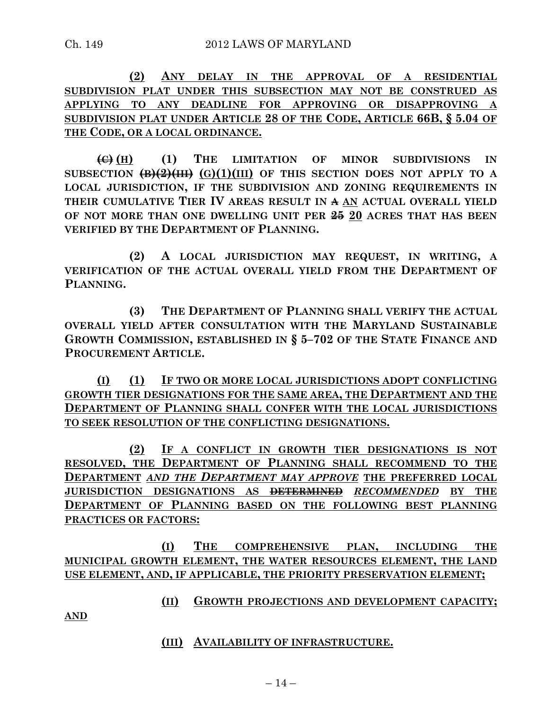**(2) ANY DELAY IN THE APPROVAL OF A RESIDENTIAL SUBDIVISION PLAT UNDER THIS SUBSECTION MAY NOT BE CONSTRUED AS APPLYING TO ANY DEADLINE FOR APPROVING OR DISAPPROVING A SUBDIVISION PLAT UNDER ARTICLE 28 OF THE CODE, ARTICLE 66B, § 5.04 OF THE CODE, OR A LOCAL ORDINANCE.**

**(C) (H) (1) THE LIMITATION OF MINOR SUBDIVISIONS IN** SUBSECTION  $\left(\frac{B}{2}\right)\left(\frac{B}{B}\right)$   $\left(\frac{C}{A}\right)\left(1\right)$  (III) OF THIS SECTION DOES NOT APPLY TO A **LOCAL JURISDICTION, IF THE SUBDIVISION AND ZONING REQUIREMENTS IN THEIR CUMULATIVE TIER IV AREAS RESULT IN A AN ACTUAL OVERALL YIELD OF NOT MORE THAN ONE DWELLING UNIT PER 25 20 ACRES THAT HAS BEEN VERIFIED BY THE DEPARTMENT OF PLANNING.**

**(2) A LOCAL JURISDICTION MAY REQUEST, IN WRITING, A VERIFICATION OF THE ACTUAL OVERALL YIELD FROM THE DEPARTMENT OF PLANNING.**

**(3) THE DEPARTMENT OF PLANNING SHALL VERIFY THE ACTUAL OVERALL YIELD AFTER CONSULTATION WITH THE MARYLAND SUSTAINABLE GROWTH COMMISSION, ESTABLISHED IN § 5–702 OF THE STATE FINANCE AND PROCUREMENT ARTICLE.**

**(I) (1) IF TWO OR MORE LOCAL JURISDICTIONS ADOPT CONFLICTING GROWTH TIER DESIGNATIONS FOR THE SAME AREA, THE DEPARTMENT AND THE DEPARTMENT OF PLANNING SHALL CONFER WITH THE LOCAL JURISDICTIONS TO SEEK RESOLUTION OF THE CONFLICTING DESIGNATIONS.**

**(2) IF A CONFLICT IN GROWTH TIER DESIGNATIONS IS NOT RESOLVED, THE DEPARTMENT OF PLANNING SHALL RECOMMEND TO THE DEPARTMENT** *AND THE DEPARTMENT MAY APPROVE* **THE PREFERRED LOCAL JURISDICTION DESIGNATIONS AS DETERMINED** *RECOMMENDED* **BY THE DEPARTMENT OF PLANNING BASED ON THE FOLLOWING BEST PLANNING PRACTICES OR FACTORS:**

**(I) THE COMPREHENSIVE PLAN, INCLUDING THE MUNICIPAL GROWTH ELEMENT, THE WATER RESOURCES ELEMENT, THE LAND USE ELEMENT, AND, IF APPLICABLE, THE PRIORITY PRESERVATION ELEMENT;**

**(II) GROWTH PROJECTIONS AND DEVELOPMENT CAPACITY;**

**AND**

**(III) AVAILABILITY OF INFRASTRUCTURE.**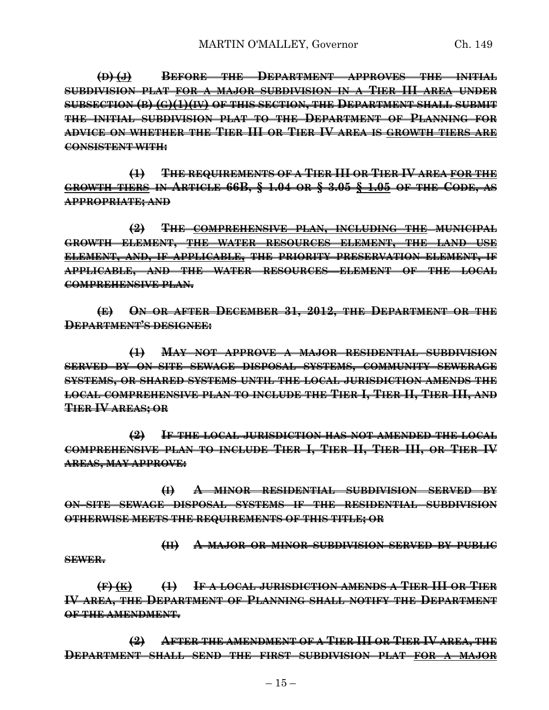**(D) (J) BEFORE THE DEPARTMENT APPROVES THE INITIAL SUBDIVISION PLAT FOR A MAJOR SUBDIVISION IN A TIER III AREA UNDER SUBSECTION (B) (G)(1)(IV) OF THIS SECTION, THE DEPARTMENT SHALL SUBMIT THE INITIAL SUBDIVISION PLAT TO THE DEPARTMENT OF PLANNING FOR ADVICE ON WHETHER THE TIER III OR TIER IV AREA IS GROWTH TIERS ARE CONSISTENT WITH:**

**(1) THE REQUIREMENTS OF A TIER III OR TIER IV AREA FOR THE GROWTH TIERS IN ARTICLE 66B, § 1.04 OR § 3.05 § 1.05 OF THE CODE, AS APPROPRIATE; AND**

**(2) THE COMPREHENSIVE PLAN, INCLUDING THE MUNICIPAL GROWTH ELEMENT, THE WATER RESOURCES ELEMENT, THE LAND USE ELEMENT, AND, IF APPLICABLE, THE PRIORITY PRESERVATION ELEMENT, IF APPLICABLE, AND THE WATER RESOURCES ELEMENT OF THE LOCAL COMPREHENSIVE PLAN.**

**(E) ON OR AFTER DECEMBER 31, 2012, THE DEPARTMENT OR THE DEPARTMENT'S DESIGNEE:**

**(1) MAY NOT APPROVE A MAJOR RESIDENTIAL SUBDIVISION SERVED BY ON–SITE SEWAGE DISPOSAL SYSTEMS, COMMUNITY SEWERAGE SYSTEMS, OR SHARED SYSTEMS UNTIL THE LOCAL JURISDICTION AMENDS THE LOCAL COMPREHENSIVE PLAN TO INCLUDE THE TIER I, TIER II, TIER III, AND TIER IV AREAS; OR**

**(2) IF THE LOCAL JURISDICTION HAS NOT AMENDED THE LOCAL COMPREHENSIVE PLAN TO INCLUDE TIER I, TIER II, TIER III, OR TIER IV AREAS, MAY APPROVE:**

**(I) A MINOR RESIDENTIAL SUBDIVISION SERVED BY ON–SITE SEWAGE DISPOSAL SYSTEMS IF THE RESIDENTIAL SUBDIVISION OTHERWISE MEETS THE REQUIREMENTS OF THIS TITLE; OR** 

**(II) A MAJOR OR MINOR SUBDIVISION SERVED BY PUBLIC**

**SEWER.**

**(F) (K) (1) IF A LOCAL JURISDICTION AMENDS A TIER III OR TIER IV AREA, THE DEPARTMENT OF PLANNING SHALL NOTIFY THE DEPARTMENT OF THE AMENDMENT.**

**(2) AFTER THE AMENDMENT OF A TIER III OR TIER IV AREA, THE DEPARTMENT SHALL SEND THE FIRST SUBDIVISION PLAT FOR A MAJOR**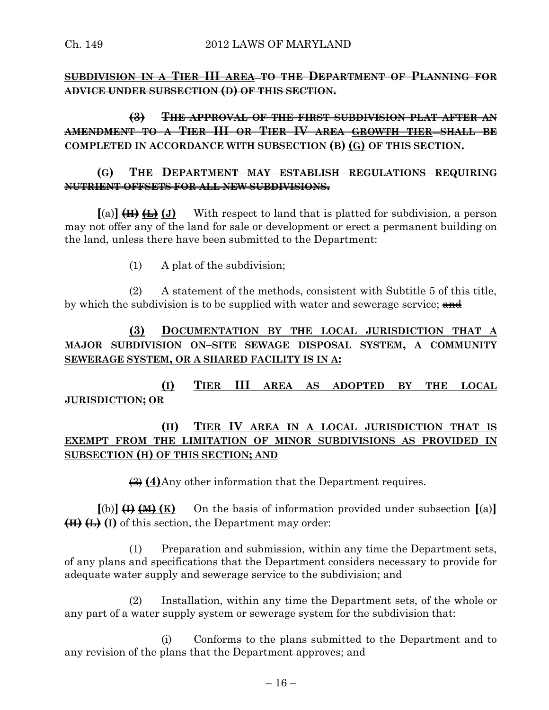**SUBDIVISION IN A TIER III AREA TO THE DEPARTMENT OF PLANNING FOR ADVICE UNDER SUBSECTION (D) OF THIS SECTION.**

**(3) THE APPROVAL OF THE FIRST SUBDIVISION PLAT AFTER AN AMENDMENT TO A TIER III OR TIER IV AREA GROWTH TIER SHALL BE COMPLETED IN ACCORDANCE WITH SUBSECTION (B) (G) OF THIS SECTION.**

# **(G) THE DEPARTMENT MAY ESTABLISH REGULATIONS REQUIRING NUTRIENT OFFSETS FOR ALL NEW SUBDIVISIONS.**

 $[(a)$   $(H)$   $(H)$   $(H)$   $(J)$  With respect to land that is platted for subdivision, a person may not offer any of the land for sale or development or erect a permanent building on the land, unless there have been submitted to the Department:

(1) A plat of the subdivision;

(2) A statement of the methods, consistent with Subtitle 5 of this title, by which the subdivision is to be supplied with water and sewerage service; and

# **(3) DOCUMENTATION BY THE LOCAL JURISDICTION THAT A MAJOR SUBDIVISION ON–SITE SEWAGE DISPOSAL SYSTEM, A COMMUNITY SEWERAGE SYSTEM, OR A SHARED FACILITY IS IN A:**

**(I) TIER III AREA AS ADOPTED BY THE LOCAL JURISDICTION; OR**

# **(II) TIER IV AREA IN A LOCAL JURISDICTION THAT IS EXEMPT FROM THE LIMITATION OF MINOR SUBDIVISIONS AS PROVIDED IN SUBSECTION (H) OF THIS SECTION; AND**

(3) **(4)**Any other information that the Department requires.

 $[(b)]$   $(H)$   $(H)$   $(K)$  On the basis of information provided under subsection  $[(a)]$ **(H) (L) (I)** of this section, the Department may order:

(1) Preparation and submission, within any time the Department sets, of any plans and specifications that the Department considers necessary to provide for adequate water supply and sewerage service to the subdivision; and

(2) Installation, within any time the Department sets, of the whole or any part of a water supply system or sewerage system for the subdivision that:

(i) Conforms to the plans submitted to the Department and to any revision of the plans that the Department approves; and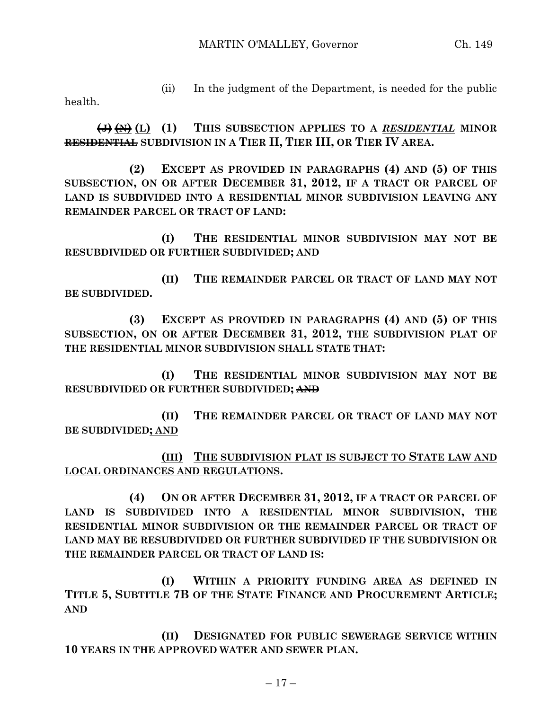health.

(ii) In the judgment of the Department, is needed for the public

**(J) (N) (L) (1) THIS SUBSECTION APPLIES TO A** *RESIDENTIAL* **MINOR RESIDENTIAL SUBDIVISION IN A TIER II, TIER III, OR TIER IV AREA.**

**(2) EXCEPT AS PROVIDED IN PARAGRAPHS (4) AND (5) OF THIS SUBSECTION, ON OR AFTER DECEMBER 31, 2012, IF A TRACT OR PARCEL OF LAND IS SUBDIVIDED INTO A RESIDENTIAL MINOR SUBDIVISION LEAVING ANY REMAINDER PARCEL OR TRACT OF LAND:**

**(I) THE RESIDENTIAL MINOR SUBDIVISION MAY NOT BE RESUBDIVIDED OR FURTHER SUBDIVIDED; AND**

**(II) THE REMAINDER PARCEL OR TRACT OF LAND MAY NOT BE SUBDIVIDED.**

**(3) EXCEPT AS PROVIDED IN PARAGRAPHS (4) AND (5) OF THIS SUBSECTION, ON OR AFTER DECEMBER 31, 2012, THE SUBDIVISION PLAT OF THE RESIDENTIAL MINOR SUBDIVISION SHALL STATE THAT:**

**(I) THE RESIDENTIAL MINOR SUBDIVISION MAY NOT BE RESUBDIVIDED OR FURTHER SUBDIVIDED; AND**

**(II) THE REMAINDER PARCEL OR TRACT OF LAND MAY NOT BE SUBDIVIDED; AND**

**(III) THE SUBDIVISION PLAT IS SUBJECT TO STATE LAW AND LOCAL ORDINANCES AND REGULATIONS.**

**(4) ON OR AFTER DECEMBER 31, 2012, IF A TRACT OR PARCEL OF LAND IS SUBDIVIDED INTO A RESIDENTIAL MINOR SUBDIVISION, THE RESIDENTIAL MINOR SUBDIVISION OR THE REMAINDER PARCEL OR TRACT OF LAND MAY BE RESUBDIVIDED OR FURTHER SUBDIVIDED IF THE SUBDIVISION OR THE REMAINDER PARCEL OR TRACT OF LAND IS:**

**(I) WITHIN A PRIORITY FUNDING AREA AS DEFINED IN TITLE 5, SUBTITLE 7B OF THE STATE FINANCE AND PROCUREMENT ARTICLE; AND**

**(II) DESIGNATED FOR PUBLIC SEWERAGE SERVICE WITHIN 10 YEARS IN THE APPROVED WATER AND SEWER PLAN.**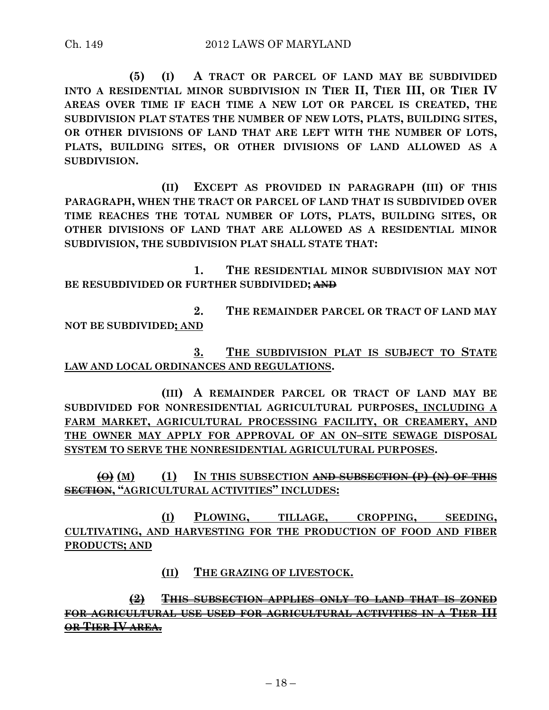**(5) (I) A TRACT OR PARCEL OF LAND MAY BE SUBDIVIDED INTO A RESIDENTIAL MINOR SUBDIVISION IN TIER II, TIER III, OR TIER IV AREAS OVER TIME IF EACH TIME A NEW LOT OR PARCEL IS CREATED, THE SUBDIVISION PLAT STATES THE NUMBER OF NEW LOTS, PLATS, BUILDING SITES, OR OTHER DIVISIONS OF LAND THAT ARE LEFT WITH THE NUMBER OF LOTS, PLATS, BUILDING SITES, OR OTHER DIVISIONS OF LAND ALLOWED AS A SUBDIVISION.**

**(II) EXCEPT AS PROVIDED IN PARAGRAPH (III) OF THIS PARAGRAPH, WHEN THE TRACT OR PARCEL OF LAND THAT IS SUBDIVIDED OVER TIME REACHES THE TOTAL NUMBER OF LOTS, PLATS, BUILDING SITES, OR OTHER DIVISIONS OF LAND THAT ARE ALLOWED AS A RESIDENTIAL MINOR SUBDIVISION, THE SUBDIVISION PLAT SHALL STATE THAT:**

**1. THE RESIDENTIAL MINOR SUBDIVISION MAY NOT BE RESUBDIVIDED OR FURTHER SUBDIVIDED; AND**

**2. THE REMAINDER PARCEL OR TRACT OF LAND MAY NOT BE SUBDIVIDED; AND**

**3. THE SUBDIVISION PLAT IS SUBJECT TO STATE LAW AND LOCAL ORDINANCES AND REGULATIONS.**

**(III) A REMAINDER PARCEL OR TRACT OF LAND MAY BE SUBDIVIDED FOR NONRESIDENTIAL AGRICULTURAL PURPOSES, INCLUDING A FARM MARKET, AGRICULTURAL PROCESSING FACILITY, OR CREAMERY, AND THE OWNER MAY APPLY FOR APPROVAL OF AN ON–SITE SEWAGE DISPOSAL SYSTEM TO SERVE THE NONRESIDENTIAL AGRICULTURAL PURPOSES.**

**(O) (M) (1) IN THIS SUBSECTION AND SUBSECTION (P) (N) OF THIS SECTION, "AGRICULTURAL ACTIVITIES" INCLUDES:**

**(I) PLOWING, TILLAGE, CROPPING, SEEDING, CULTIVATING, AND HARVESTING FOR THE PRODUCTION OF FOOD AND FIBER PRODUCTS; AND** 

**(II) THE GRAZING OF LIVESTOCK.**

**(2) THIS SUBSECTION APPLIES ONLY TO LAND THAT IS ZONED FOR AGRICULTURAL USE USED FOR AGRICULTURAL ACTIVITIES IN A TIER III OR TIER IV AREA.**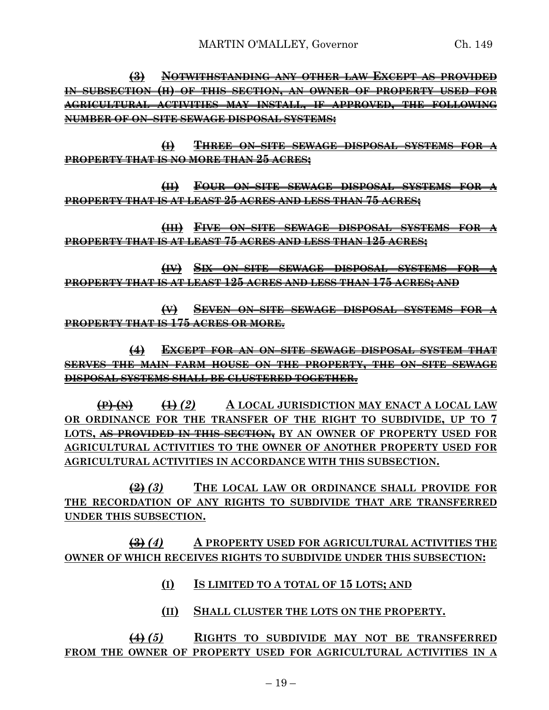**(3) NOTWITHSTANDING ANY OTHER LAW EXCEPT AS PROVIDED IN SUBSECTION (H) OF THIS SECTION, AN OWNER OF PROPERTY USED FOR AGRICULTURAL ACTIVITIES MAY INSTALL, IF APPROVED, THE FOLLOWING NUMBER OF ON–SITE SEWAGE DISPOSAL SYSTEMS:**

**(I) THREE ON–SITE SEWAGE DISPOSAL SYSTEMS FOR A PROPERTY THAT IS NO MORE THAN 25 ACRES;**

**(II) FOUR ON–SITE SEWAGE DISPOSAL SYSTEMS FOR A PROPERTY THAT IS AT LEAST 25 ACRES AND LESS THAN 75 ACRES;**

**(III) FIVE ON–SITE SEWAGE DISPOSAL SYSTEMS FOR A PROPERTY THAT IS AT LEAST 75 ACRES AND LESS THAN 125 ACRES;**

**(IV) SIX ON–SITE SEWAGE DISPOSAL SYSTEMS FOR A PROPERTY THAT IS AT LEAST 125 ACRES AND LESS THAN 175 ACRES; AND**

**(V) SEVEN ON–SITE SEWAGE DISPOSAL SYSTEMS FOR A PROPERTY THAT IS 175 ACRES OR MORE.**

**(4) EXCEPT FOR AN ON–SITE SEWAGE DISPOSAL SYSTEM THAT SERVES THE MAIN FARM HOUSE ON THE PROPERTY, THE ON–SITE SEWAGE DISPOSAL SYSTEMS SHALL BE CLUSTERED TOGETHER.**

**(P) (N) (1)** *(2)* **A LOCAL JURISDICTION MAY ENACT A LOCAL LAW OR ORDINANCE FOR THE TRANSFER OF THE RIGHT TO SUBDIVIDE, UP TO 7 LOTS, AS PROVIDED IN THIS SECTION, BY AN OWNER OF PROPERTY USED FOR AGRICULTURAL ACTIVITIES TO THE OWNER OF ANOTHER PROPERTY USED FOR AGRICULTURAL ACTIVITIES IN ACCORDANCE WITH THIS SUBSECTION.**

**(2)** *(3)* **THE LOCAL LAW OR ORDINANCE SHALL PROVIDE FOR THE RECORDATION OF ANY RIGHTS TO SUBDIVIDE THAT ARE TRANSFERRED UNDER THIS SUBSECTION.**

**(3)** *(4)* **A PROPERTY USED FOR AGRICULTURAL ACTIVITIES THE OWNER OF WHICH RECEIVES RIGHTS TO SUBDIVIDE UNDER THIS SUBSECTION:**

- **(I) IS LIMITED TO A TOTAL OF 15 LOTS; AND**
- **(II) SHALL CLUSTER THE LOTS ON THE PROPERTY.**

**(4)** *(5)* **RIGHTS TO SUBDIVIDE MAY NOT BE TRANSFERRED FROM THE OWNER OF PROPERTY USED FOR AGRICULTURAL ACTIVITIES IN A**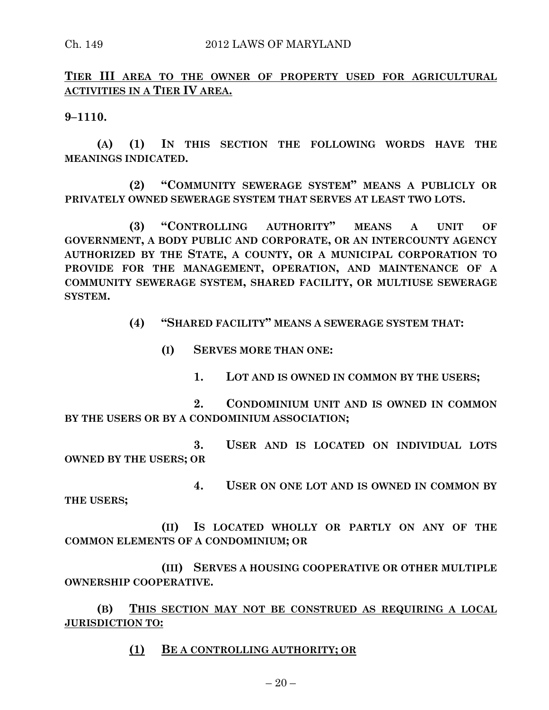**TIER III AREA TO THE OWNER OF PROPERTY USED FOR AGRICULTURAL ACTIVITIES IN A TIER IV AREA.**

**9–1110.**

**(A) (1) IN THIS SECTION THE FOLLOWING WORDS HAVE THE MEANINGS INDICATED.**

**(2) "COMMUNITY SEWERAGE SYSTEM" MEANS A PUBLICLY OR PRIVATELY OWNED SEWERAGE SYSTEM THAT SERVES AT LEAST TWO LOTS.**

**(3) "CONTROLLING AUTHORITY" MEANS A UNIT OF GOVERNMENT, A BODY PUBLIC AND CORPORATE, OR AN INTERCOUNTY AGENCY AUTHORIZED BY THE STATE, A COUNTY, OR A MUNICIPAL CORPORATION TO PROVIDE FOR THE MANAGEMENT, OPERATION, AND MAINTENANCE OF A COMMUNITY SEWERAGE SYSTEM, SHARED FACILITY, OR MULTIUSE SEWERAGE SYSTEM.**

**(4) "SHARED FACILITY" MEANS A SEWERAGE SYSTEM THAT:**

**(I) SERVES MORE THAN ONE:**

**1. LOT AND IS OWNED IN COMMON BY THE USERS;**

**2. CONDOMINIUM UNIT AND IS OWNED IN COMMON BY THE USERS OR BY A CONDOMINIUM ASSOCIATION;**

**3. USER AND IS LOCATED ON INDIVIDUAL LOTS OWNED BY THE USERS; OR**

**4. USER ON ONE LOT AND IS OWNED IN COMMON BY THE USERS;**

**(II) IS LOCATED WHOLLY OR PARTLY ON ANY OF THE COMMON ELEMENTS OF A CONDOMINIUM; OR**

**(III) SERVES A HOUSING COOPERATIVE OR OTHER MULTIPLE OWNERSHIP COOPERATIVE.**

**(B) THIS SECTION MAY NOT BE CONSTRUED AS REQUIRING A LOCAL JURISDICTION TO:**

**(1) BE A CONTROLLING AUTHORITY; OR**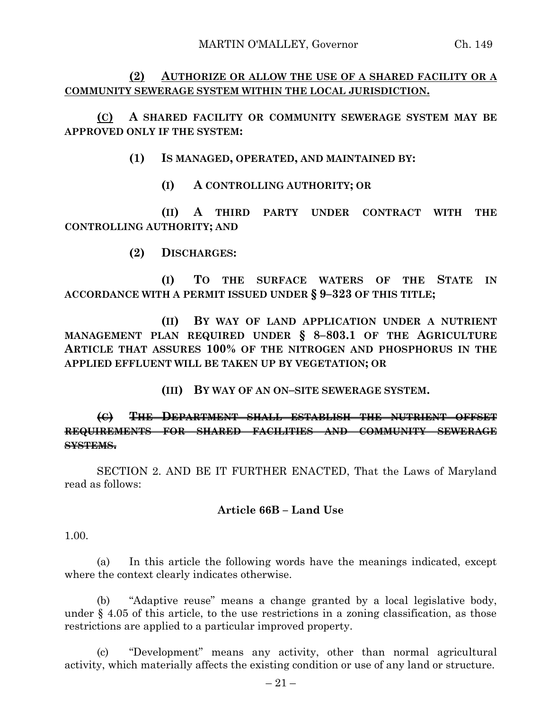# **(2) AUTHORIZE OR ALLOW THE USE OF A SHARED FACILITY OR A COMMUNITY SEWERAGE SYSTEM WITHIN THE LOCAL JURISDICTION.**

**(C) A SHARED FACILITY OR COMMUNITY SEWERAGE SYSTEM MAY BE APPROVED ONLY IF THE SYSTEM:**

**(1) IS MANAGED, OPERATED, AND MAINTAINED BY:**

**(I) A CONTROLLING AUTHORITY; OR**

**(II) A THIRD PARTY UNDER CONTRACT WITH THE CONTROLLING AUTHORITY; AND**

**(2) DISCHARGES:**

**(I) TO THE SURFACE WATERS OF THE STATE IN ACCORDANCE WITH A PERMIT ISSUED UNDER § 9–323 OF THIS TITLE;**

**(II) BY WAY OF LAND APPLICATION UNDER A NUTRIENT MANAGEMENT PLAN REQUIRED UNDER § 8–803.1 OF THE AGRICULTURE ARTICLE THAT ASSURES 100% OF THE NITROGEN AND PHOSPHORUS IN THE APPLIED EFFLUENT WILL BE TAKEN UP BY VEGETATION; OR**

**(III) BY WAY OF AN ON–SITE SEWERAGE SYSTEM.**

# **(C) THE DEPARTMENT SHALL ESTABLISH THE NUTRIENT OFFSET REQUIREMENTS FOR SHARED FACILITIES AND COMMUNITY SEWERAGE SYSTEMS.**

SECTION 2. AND BE IT FURTHER ENACTED, That the Laws of Maryland read as follows:

### **Article 66B – Land Use**

1.00.

(a) In this article the following words have the meanings indicated, except where the context clearly indicates otherwise.

(b) "Adaptive reuse" means a change granted by a local legislative body, under § 4.05 of this article, to the use restrictions in a zoning classification, as those restrictions are applied to a particular improved property.

(c) "Development" means any activity, other than normal agricultural activity, which materially affects the existing condition or use of any land or structure.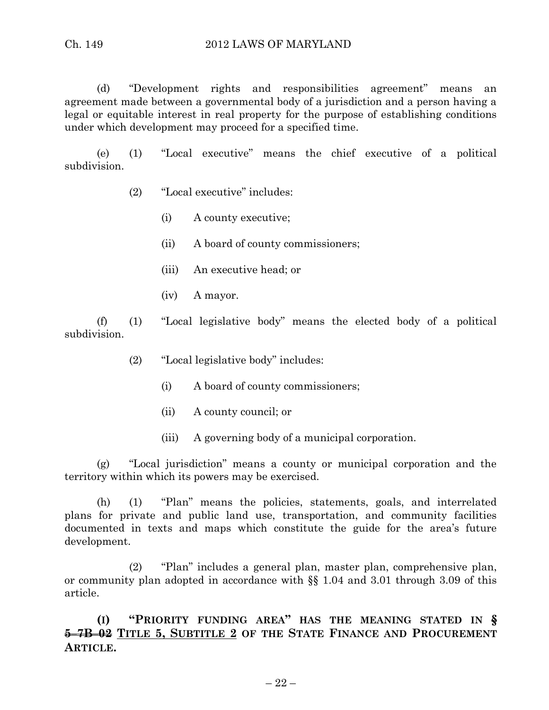(d) "Development rights and responsibilities agreement" means an agreement made between a governmental body of a jurisdiction and a person having a legal or equitable interest in real property for the purpose of establishing conditions under which development may proceed for a specified time.

(e) (1) "Local executive" means the chief executive of a political subdivision.

- (2) "Local executive" includes:
	- (i) A county executive;
	- (ii) A board of county commissioners;
	- (iii) An executive head; or
	- (iv) A mayor.

(f) (1) "Local legislative body" means the elected body of a political subdivision.

- (2) "Local legislative body" includes:
	- (i) A board of county commissioners;
	- (ii) A county council; or
	- (iii) A governing body of a municipal corporation.

(g) "Local jurisdiction" means a county or municipal corporation and the territory within which its powers may be exercised.

(h) (1) "Plan" means the policies, statements, goals, and interrelated plans for private and public land use, transportation, and community facilities documented in texts and maps which constitute the guide for the area's future development.

(2) "Plan" includes a general plan, master plan, comprehensive plan, or community plan adopted in accordance with §§ 1.04 and 3.01 through 3.09 of this article.

**(I) "PRIORITY FUNDING AREA" HAS THE MEANING STATED IN § 5–7B–02 TITLE 5, SUBTITLE 2 OF THE STATE FINANCE AND PROCUREMENT ARTICLE.**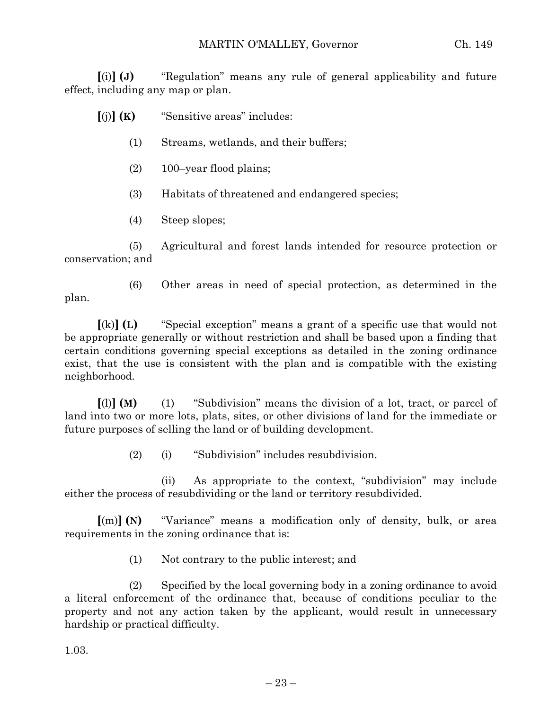**[**(i)**] (J)** "Regulation" means any rule of general applicability and future effect, including any map or plan.

**[**(j)**] (K)** "Sensitive areas" includes:

- (1) Streams, wetlands, and their buffers;
- (2) 100–year flood plains;
- (3) Habitats of threatened and endangered species;
- (4) Steep slopes;

(5) Agricultural and forest lands intended for resource protection or conservation; and

(6) Other areas in need of special protection, as determined in the plan.

**[**(k)**] (L)** "Special exception" means a grant of a specific use that would not be appropriate generally or without restriction and shall be based upon a finding that certain conditions governing special exceptions as detailed in the zoning ordinance exist, that the use is consistent with the plan and is compatible with the existing neighborhood.

**[**(l)**] (M)** (1) "Subdivision" means the division of a lot, tract, or parcel of land into two or more lots, plats, sites, or other divisions of land for the immediate or future purposes of selling the land or of building development.

(2) (i) "Subdivision" includes resubdivision.

(ii) As appropriate to the context, "subdivision" may include either the process of resubdividing or the land or territory resubdivided.

**[**(m)**] (N)** "Variance" means a modification only of density, bulk, or area requirements in the zoning ordinance that is:

(1) Not contrary to the public interest; and

(2) Specified by the local governing body in a zoning ordinance to avoid a literal enforcement of the ordinance that, because of conditions peculiar to the property and not any action taken by the applicant, would result in unnecessary hardship or practical difficulty.

1.03.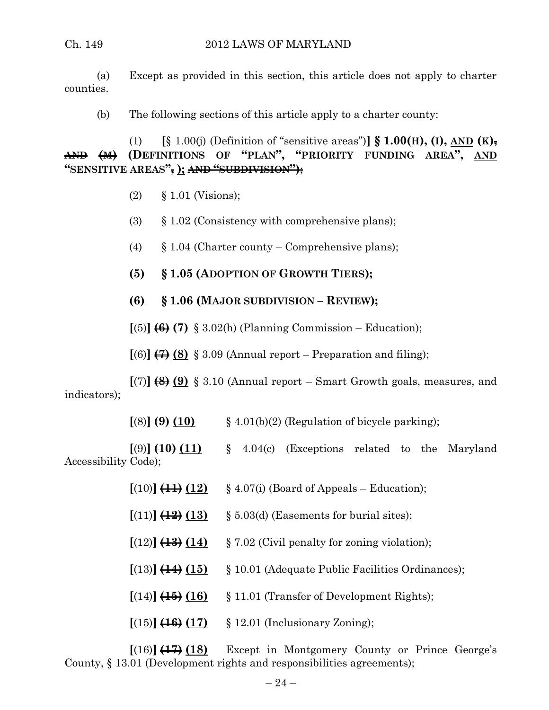(a) Except as provided in this section, this article does not apply to charter counties.

(b) The following sections of this article apply to a charter county:

(1) **[**§ 1.00(j) (Definition of "sensitive areas")**] § 1.00(H), (I), AND (K), AND (M) (DEFINITIONS OF "PLAN", "PRIORITY FUNDING AREA", AND "SENSITIVE AREAS", ); AND "SUBDIVISION")**;

- (2) § 1.01 (Visions);
- (3) § 1.02 (Consistency with comprehensive plans);
- (4)  $\S 1.04$  (Charter county Comprehensive plans);
- **(5) § 1.05 (ADOPTION OF GROWTH TIERS);**
- **(6) § 1.06 (MAJOR SUBDIVISION – REVIEW);**

 $[(5)]$   $(6)$   $(7)$  § 3.02(h) (Planning Commission – Education);

 $[(6)]$   $\leftrightarrow$   $(8)$  § 3.09 (Annual report – Preparation and filing);

**[**(7)**] (8) (9)** § 3.10 (Annual report – Smart Growth goals, measures, and indicators);

 $[(8)] (9) (10)$  § 4.01(b)(2) (Regulation of bicycle parking);

 $[(9)] (10)$   $(11)$   $\& 4.04(c)$  (Exceptions related to the Maryland Accessibility Code);

- $[(10)]$   $(11)$   $(12)$  § 4.07(i) (Board of Appeals Education);
- $[(11)]$   $(12)$   $(13)$  § 5.03(d) (Easements for burial sites);
- $[(12)]$   $(13)$   $(14)$  § 7.02 (Civil penalty for zoning violation);
- **[**(13)**] (14) (15)** § 10.01 (Adequate Public Facilities Ordinances);
- $[(14)]$   $(15)$   $(16)$   $§$  11.01 (Transfer of Development Rights);
- **[**(15)**] (16) (17)** § 12.01 (Inclusionary Zoning);

**[**(16)**] (17) (18)** Except in Montgomery County or Prince George's County, § 13.01 (Development rights and responsibilities agreements);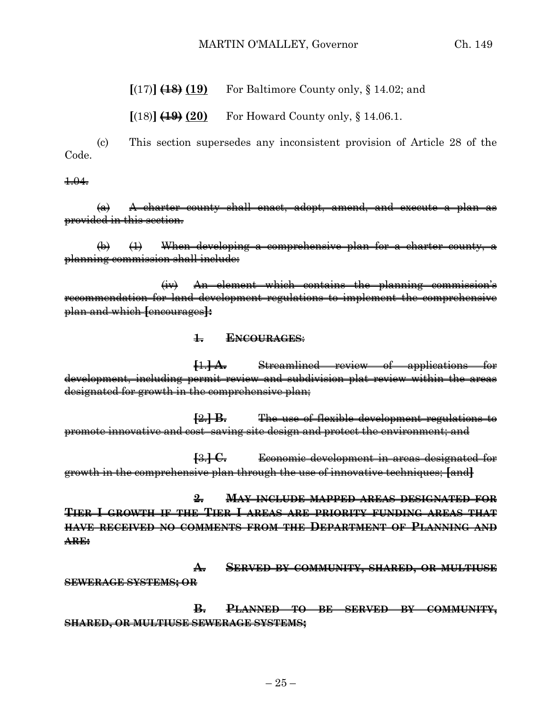#### MARTIN O'MALLEY, Governor Ch. 149

**[**(17)**] (18) (19)** For Baltimore County only, § 14.02; and

 $[(18)]$   $(19)(20)$  For Howard County only,  $§$  14.06.1.

(c) This section supersedes any inconsistent provision of Article 28 of the Code.

1.04.

(a) A charter county shall enact, adopt, amend, and execute a plan as provided in this section.

(b) (1) When developing a comprehensive plan for a charter county, a planning commission shall include:

(iv) An element which contains the planning commission's recommendation for land development regulations to implement the comprehensive plan and which **[**encourages**]:**

#### **1. ENCOURAGES**:

**[**1.**] A.** Streamlined review of applications for development, including permit review and subdivision plat review within the areas designated for growth in the comprehensive plan;

**[**2.**] B.** The use of flexible development regulations to promote innovative and cost–saving site design and protect the environment; and

**[**3.**] C.** Economic development in areas designated for growth in the comprehensive plan through the use of innovative techniques; **[**and**]**

**2. MAY INCLUDE MAPPED AREAS DESIGNATED FOR TIER I GROWTH IF THE TIER I AREAS ARE PRIORITY FUNDING AREAS THAT HAVE RECEIVED NO COMMENTS FROM THE DEPARTMENT OF PLANNING AND ARE:**

**A. SERVED BY COMMUNITY, SHARED, OR MULTIUSE SEWERAGE SYSTEMS; OR** 

**B. PLANNED TO BE SERVED BY COMMUNITY, SHARED, OR MULTIUSE SEWERAGE SYSTEMS;**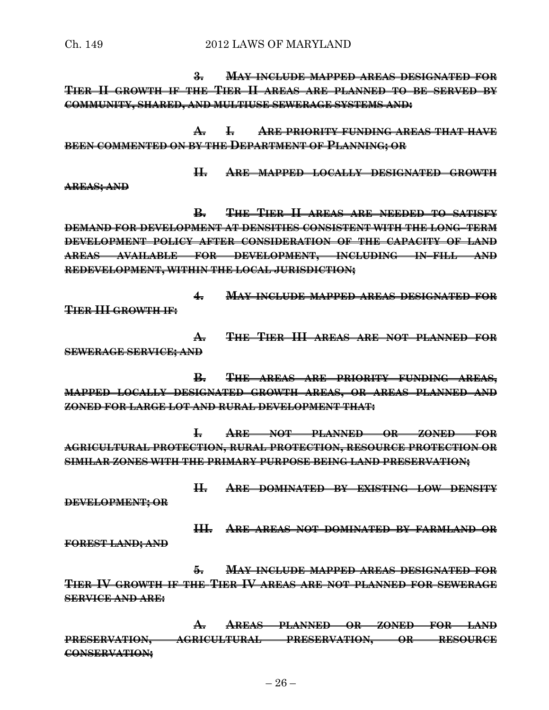Ch. 149 2012 LAWS OF MARYLAND

**3. MAY INCLUDE MAPPED AREAS DESIGNATED FOR TIER II GROWTH IF THE TIER II AREAS ARE PLANNED TO BE SERVED BY COMMUNITY, SHARED, AND MULTIUSE SEWERAGE SYSTEMS AND:**

**A. I. ARE PRIORITY FUNDING AREAS THAT HAVE BEEN COMMENTED ON BY THE DEPARTMENT OF PLANNING; OR** 

**II. ARE MAPPED LOCALLY DESIGNATED GROWTH**

**AREAS; AND**

**B. THE TIER II AREAS ARE NEEDED TO SATISFY DEMAND FOR DEVELOPMENT AT DENSITIES CONSISTENT WITH THE LONG–TERM DEVELOPMENT POLICY AFTER CONSIDERATION OF THE CAPACITY OF LAND AREAS AVAILABLE FOR DEVELOPMENT, INCLUDING IN–FILL AND REDEVELOPMENT, WITHIN THE LOCAL JURISDICTION;**

**4. MAY INCLUDE MAPPED AREAS DESIGNATED FOR TIER III GROWTH IF:**

**A. THE TIER III AREAS ARE NOT PLANNED FOR SEWERAGE SERVICE; AND**

**B. THE AREAS ARE PRIORITY FUNDING AREAS, MAPPED LOCALLY DESIGNATED GROWTH AREAS, OR AREAS PLANNED AND ZONED FOR LARGE LOT AND RURAL DEVELOPMENT THAT:**

**I. ARE NOT PLANNED OR ZONED FOR AGRICULTURAL PROTECTION, RURAL PROTECTION, RESOURCE PROTECTION OR SIMILAR ZONES WITH THE PRIMARY PURPOSE BEING LAND PRESERVATION;**

**II. ARE DOMINATED BY EXISTING LOW DENSITY DEVELOPMENT; OR**

**III. ARE AREAS NOT DOMINATED BY FARMLAND OR FOREST LAND; AND**

**5. MAY INCLUDE MAPPED AREAS DESIGNATED FOR TIER IV GROWTH IF THE TIER IV AREAS ARE NOT PLANNED FOR SEWERAGE SERVICE AND ARE:**

**A. AREAS PLANNED OR ZONED FOR LAND PRESERVATION, AGRICULTURAL PRESERVATION, OR RESOURCE CONSERVATION;**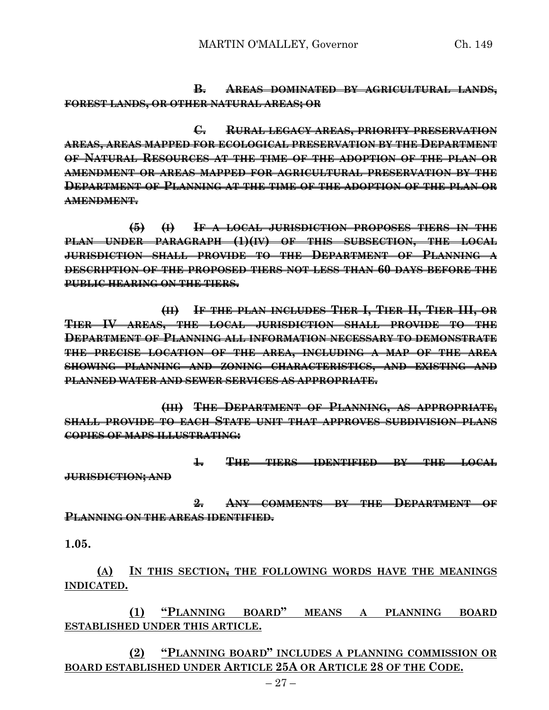**B. AREAS DOMINATED BY AGRICULTURAL LANDS, FOREST LANDS, OR OTHER NATURAL AREAS; OR**

**C. RURAL LEGACY AREAS, PRIORITY PRESERVATION AREAS, AREAS MAPPED FOR ECOLOGICAL PRESERVATION BY THE DEPARTMENT OF NATURAL RESOURCES AT THE TIME OF THE ADOPTION OF THE PLAN OR AMENDMENT OR AREAS MAPPED FOR AGRICULTURAL PRESERVATION BY THE DEPARTMENT OF PLANNING AT THE TIME OF THE ADOPTION OF THE PLAN OR AMENDMENT.**

**(5) (I) IF A LOCAL JURISDICTION PROPOSES TIERS IN THE PLAN UNDER PARAGRAPH (1)(IV) OF THIS SUBSECTION, THE LOCAL JURISDICTION SHALL PROVIDE TO THE DEPARTMENT OF PLANNING A DESCRIPTION OF THE PROPOSED TIERS NOT LESS THAN 60 DAYS BEFORE THE PUBLIC HEARING ON THE TIERS.**

**(II) IF THE PLAN INCLUDES TIER I, TIER II, TIER III, OR TIER IV AREAS, THE LOCAL JURISDICTION SHALL PROVIDE TO THE DEPARTMENT OF PLANNING ALL INFORMATION NECESSARY TO DEMONSTRATE THE PRECISE LOCATION OF THE AREA, INCLUDING A MAP OF THE AREA SHOWING PLANNING AND ZONING CHARACTERISTICS, AND EXISTING AND PLANNED WATER AND SEWER SERVICES AS APPROPRIATE.**

**(III) THE DEPARTMENT OF PLANNING, AS APPROPRIATE, SHALL PROVIDE TO EACH STATE UNIT THAT APPROVES SUBDIVISION PLANS COPIES OF MAPS ILLUSTRATING:**

**1. THE TIERS IDENTIFIED BY THE LOCAL JURISDICTION; AND**

**2. ANY COMMENTS BY THE DEPARTMENT OF PLANNING ON THE AREAS IDENTIFIED.**

**1.05.**

**(A) IN THIS SECTION, THE FOLLOWING WORDS HAVE THE MEANINGS INDICATED.**

**(1) "PLANNING BOARD" MEANS A PLANNING BOARD ESTABLISHED UNDER THIS ARTICLE.**

**(2) "PLANNING BOARD" INCLUDES A PLANNING COMMISSION OR BOARD ESTABLISHED UNDER ARTICLE 25A OR ARTICLE 28 OF THE CODE.**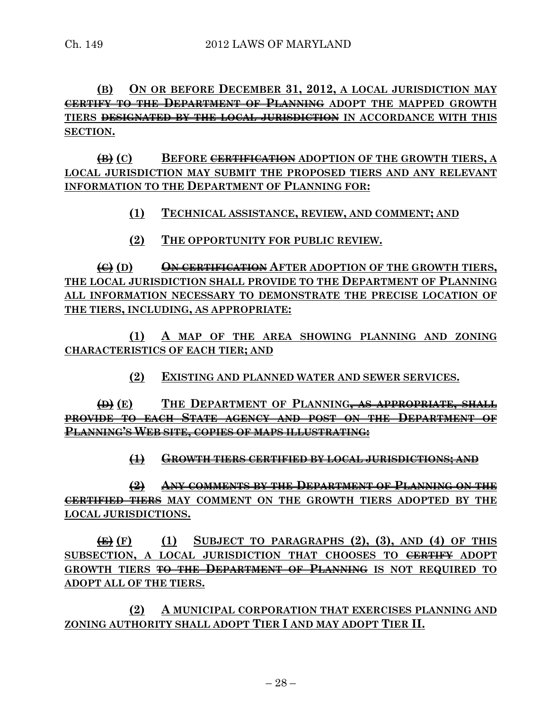# **(B) ON OR BEFORE DECEMBER 31, 2012, A LOCAL JURISDICTION MAY CERTIFY TO THE DEPARTMENT OF PLANNING ADOPT THE MAPPED GROWTH TIERS DESIGNATED BY THE LOCAL JURISDICTION IN ACCORDANCE WITH THIS SECTION.**

**(B) (C) BEFORE CERTIFICATION ADOPTION OF THE GROWTH TIERS, A LOCAL JURISDICTION MAY SUBMIT THE PROPOSED TIERS AND ANY RELEVANT INFORMATION TO THE DEPARTMENT OF PLANNING FOR:**

**(1) TECHNICAL ASSISTANCE, REVIEW, AND COMMENT; AND**

**(2) THE OPPORTUNITY FOR PUBLIC REVIEW.**

**(C) (D) ON CERTIFICATION AFTER ADOPTION OF THE GROWTH TIERS, THE LOCAL JURISDICTION SHALL PROVIDE TO THE DEPARTMENT OF PLANNING ALL INFORMATION NECESSARY TO DEMONSTRATE THE PRECISE LOCATION OF THE TIERS, INCLUDING, AS APPROPRIATE:**

**(1) A MAP OF THE AREA SHOWING PLANNING AND ZONING CHARACTERISTICS OF EACH TIER; AND**

**(2) EXISTING AND PLANNED WATER AND SEWER SERVICES.**

**(D) (E) THE DEPARTMENT OF PLANNING, AS APPROPRIATE, SHALL PROVIDE TO EACH STATE AGENCY AND POST ON THE DEPARTMENT OF PLANNING'S WEB SITE, COPIES OF MAPS ILLUSTRATING:**

**(1) GROWTH TIERS CERTIFIED BY LOCAL JURISDICTIONS; AND**

**(2) ANY COMMENTS BY THE DEPARTMENT OF PLANNING ON THE CERTIFIED TIERS MAY COMMENT ON THE GROWTH TIERS ADOPTED BY THE LOCAL JURISDICTIONS.**

**(E) (F) (1) SUBJECT TO PARAGRAPHS (2), (3), AND (4) OF THIS SUBSECTION, A LOCAL JURISDICTION THAT CHOOSES TO CERTIFY ADOPT GROWTH TIERS TO THE DEPARTMENT OF PLANNING IS NOT REQUIRED TO ADOPT ALL OF THE TIERS.**

**(2) A MUNICIPAL CORPORATION THAT EXERCISES PLANNING AND ZONING AUTHORITY SHALL ADOPT TIER I AND MAY ADOPT TIER II.**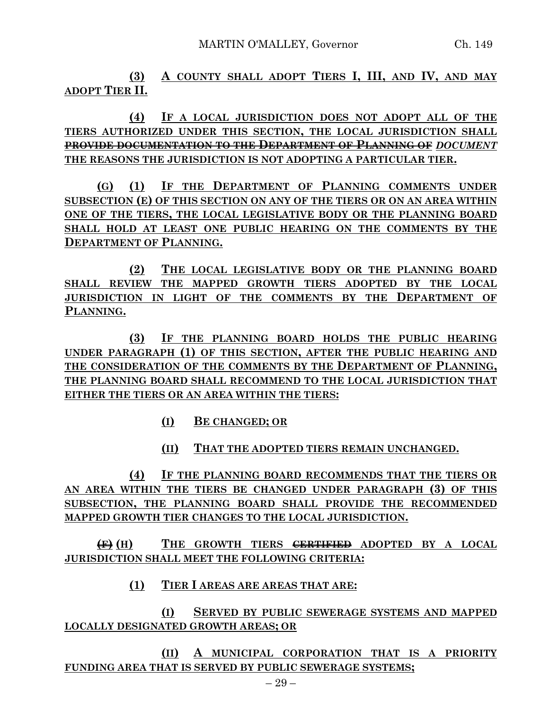**(3) A COUNTY SHALL ADOPT TIERS I, III, AND IV, AND MAY ADOPT TIER II.**

**(4) IF A LOCAL JURISDICTION DOES NOT ADOPT ALL OF THE TIERS AUTHORIZED UNDER THIS SECTION, THE LOCAL JURISDICTION SHALL PROVIDE DOCUMENTATION TO THE DEPARTMENT OF PLANNING OF** *DOCUMENT* **THE REASONS THE JURISDICTION IS NOT ADOPTING A PARTICULAR TIER.**

**(G) (1) IF THE DEPARTMENT OF PLANNING COMMENTS UNDER SUBSECTION (E) OF THIS SECTION ON ANY OF THE TIERS OR ON AN AREA WITHIN ONE OF THE TIERS, THE LOCAL LEGISLATIVE BODY OR THE PLANNING BOARD SHALL HOLD AT LEAST ONE PUBLIC HEARING ON THE COMMENTS BY THE DEPARTMENT OF PLANNING.**

**(2) THE LOCAL LEGISLATIVE BODY OR THE PLANNING BOARD SHALL REVIEW THE MAPPED GROWTH TIERS ADOPTED BY THE LOCAL JURISDICTION IN LIGHT OF THE COMMENTS BY THE DEPARTMENT OF PLANNING.**

**(3) IF THE PLANNING BOARD HOLDS THE PUBLIC HEARING UNDER PARAGRAPH (1) OF THIS SECTION, AFTER THE PUBLIC HEARING AND THE CONSIDERATION OF THE COMMENTS BY THE DEPARTMENT OF PLANNING, THE PLANNING BOARD SHALL RECOMMEND TO THE LOCAL JURISDICTION THAT EITHER THE TIERS OR AN AREA WITHIN THE TIERS:**

- **(I) BE CHANGED; OR**
- **(II) THAT THE ADOPTED TIERS REMAIN UNCHANGED.**

**(4) IF THE PLANNING BOARD RECOMMENDS THAT THE TIERS OR AN AREA WITHIN THE TIERS BE CHANGED UNDER PARAGRAPH (3) OF THIS SUBSECTION, THE PLANNING BOARD SHALL PROVIDE THE RECOMMENDED MAPPED GROWTH TIER CHANGES TO THE LOCAL JURISDICTION.**

**(F) (H) THE GROWTH TIERS CERTIFIED ADOPTED BY A LOCAL JURISDICTION SHALL MEET THE FOLLOWING CRITERIA:**

**(1) TIER I AREAS ARE AREAS THAT ARE:**

**(I) SERVED BY PUBLIC SEWERAGE SYSTEMS AND MAPPED LOCALLY DESIGNATED GROWTH AREAS; OR**

**(II) A MUNICIPAL CORPORATION THAT IS A PRIORITY FUNDING AREA THAT IS SERVED BY PUBLIC SEWERAGE SYSTEMS;**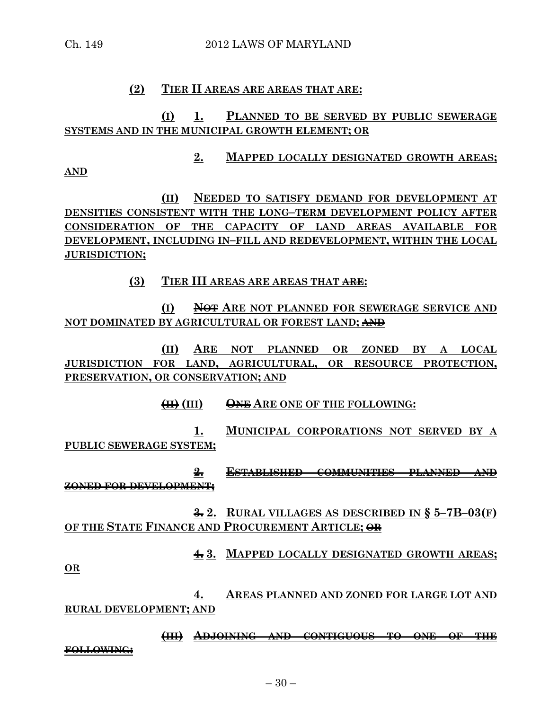# **(2) TIER II AREAS ARE AREAS THAT ARE:**

# **(I) 1. PLANNED TO BE SERVED BY PUBLIC SEWERAGE SYSTEMS AND IN THE MUNICIPAL GROWTH ELEMENT; OR**

**2. MAPPED LOCALLY DESIGNATED GROWTH AREAS;**

**AND**

**(II) NEEDED TO SATISFY DEMAND FOR DEVELOPMENT AT DENSITIES CONSISTENT WITH THE LONG–TERM DEVELOPMENT POLICY AFTER CONSIDERATION OF THE CAPACITY OF LAND AREAS AVAILABLE FOR DEVELOPMENT, INCLUDING IN–FILL AND REDEVELOPMENT, WITHIN THE LOCAL JURISDICTION;**

**(3) TIER III AREAS ARE AREAS THAT ARE:**

**(I) NOT ARE NOT PLANNED FOR SEWERAGE SERVICE AND NOT DOMINATED BY AGRICULTURAL OR FOREST LAND; AND**

**(II) ARE NOT PLANNED OR ZONED BY A LOCAL JURISDICTION FOR LAND, AGRICULTURAL, OR RESOURCE PROTECTION, PRESERVATION, OR CONSERVATION; AND**

**(II) (III) ONE ARE ONE OF THE FOLLOWING:**

**1. MUNICIPAL CORPORATIONS NOT SERVED BY A PUBLIC SEWERAGE SYSTEM;**

**2. ESTABLISHED COMMUNITIES PLANNED AND ZONED FOR DEVELOPMENT;**

**3. 2. RURAL VILLAGES AS DESCRIBED IN § 5–7B–03(F) OF THE STATE FINANCE AND PROCUREMENT ARTICLE; OR**

**4. 3. MAPPED LOCALLY DESIGNATED GROWTH AREAS;**

**OR**

**4. AREAS PLANNED AND ZONED FOR LARGE LOT AND RURAL DEVELOPMENT; AND**

**(III) ADJOINING AND CONTIGUOUS TO ONE OF THE FOLLOWING:**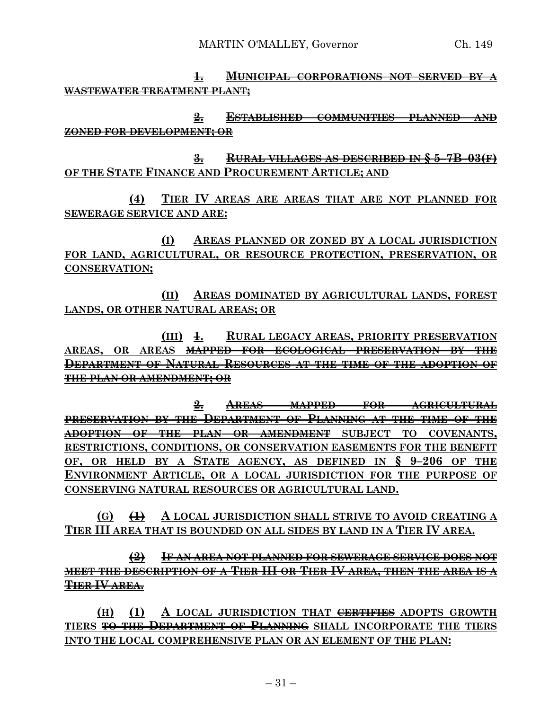**1. MUNICIPAL CORPORATIONS NOT SERVED BY A WASTEWATER TREATMENT PLANT;**

**2. ESTABLISHED COMMUNITIES PLANNED AND ZONED FOR DEVELOPMENT; OR**

**3. RURAL VILLAGES AS DESCRIBED IN § 5–7B–03(F) OF THE STATE FINANCE AND PROCUREMENT ARTICLE; AND**

**(4) TIER IV AREAS ARE AREAS THAT ARE NOT PLANNED FOR SEWERAGE SERVICE AND ARE:**

**(I) AREAS PLANNED OR ZONED BY A LOCAL JURISDICTION FOR LAND, AGRICULTURAL, OR RESOURCE PROTECTION, PRESERVATION, OR CONSERVATION;**

**(II) AREAS DOMINATED BY AGRICULTURAL LANDS, FOREST LANDS, OR OTHER NATURAL AREAS; OR**

**(III) 1. RURAL LEGACY AREAS, PRIORITY PRESERVATION AREAS**, OR AREAS MAPPED FOR ECOLOGICAL PRESERVATION BY **DEPARTMENT OF NATURAL RESOURCES AT THE TIME OF THE ADOPTION OF THE PLAN OR AMENDMENT; OR** 

**2. AREAS MAPPED FOR AGRICULTURAL PRESERVATION BY THE DEPARTMENT OF PLANNING AT THE TIME OF THE ADOPTION OF THE PLAN OR AMENDMENT SUBJECT TO COVENANTS, RESTRICTIONS, CONDITIONS, OR CONSERVATION EASEMENTS FOR THE BENEFIT OF, OR HELD BY A STATE AGENCY, AS DEFINED IN § 9–206 OF THE ENVIRONMENT ARTICLE, OR A LOCAL JURISDICTION FOR THE PURPOSE OF CONSERVING NATURAL RESOURCES OR AGRICULTURAL LAND.**

**(G) (1) A LOCAL JURISDICTION SHALL STRIVE TO AVOID CREATING A TIER III AREA THAT IS BOUNDED ON ALL SIDES BY LAND IN A TIER IV AREA.**

**(2) IF AN AREA NOT PLANNED FOR SEWERAGE SERVICE DOES NOT MEET THE DESCRIPTION OF A TIER III OR TIER IV AREA, THEN THE AREA IS A TIER IV AREA.**

**(H) (1) A LOCAL JURISDICTION THAT CERTIFIES ADOPTS GROWTH TIERS TO THE DEPARTMENT OF PLANNING SHALL INCORPORATE THE TIERS INTO THE LOCAL COMPREHENSIVE PLAN OR AN ELEMENT OF THE PLAN:**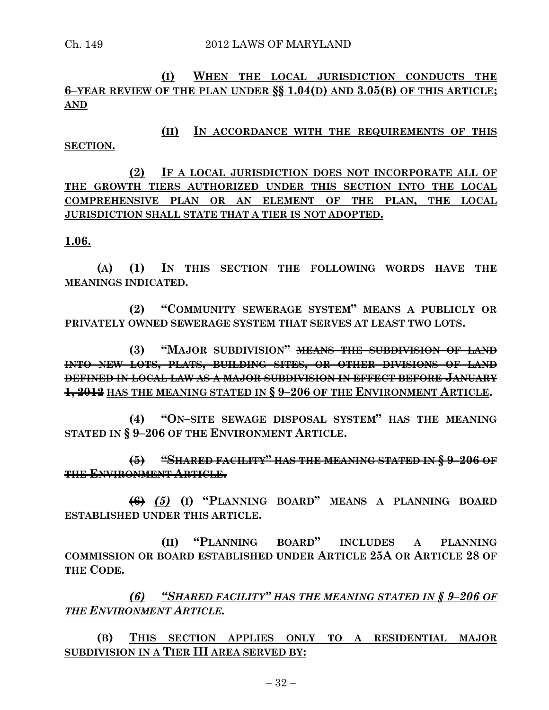**(I) WHEN THE LOCAL JURISDICTION CONDUCTS THE 6–YEAR REVIEW OF THE PLAN UNDER §§ 1.04(D) AND 3.05(B) OF THIS ARTICLE; AND**

**(II) IN ACCORDANCE WITH THE REQUIREMENTS OF THIS SECTION.**

**(2) IF A LOCAL JURISDICTION DOES NOT INCORPORATE ALL OF THE GROWTH TIERS AUTHORIZED UNDER THIS SECTION INTO THE LOCAL COMPREHENSIVE PLAN OR AN ELEMENT OF THE PLAN, THE LOCAL JURISDICTION SHALL STATE THAT A TIER IS NOT ADOPTED.**

### **1.06.**

**(A) (1) IN THIS SECTION THE FOLLOWING WORDS HAVE THE MEANINGS INDICATED.**

**(2) "COMMUNITY SEWERAGE SYSTEM" MEANS A PUBLICLY OR PRIVATELY OWNED SEWERAGE SYSTEM THAT SERVES AT LEAST TWO LOTS.**

**(3) "MAJOR SUBDIVISION" MEANS THE SUBDIVISION OF LAND INTO NEW LOTS, PLATS, BUILDING SITES, OR OTHER DIVISIONS OF LAND DEFINED IN LOCAL LAW AS A MAJOR SUBDIVISION IN EFFECT BEFORE JANUARY 1, 2012 HAS THE MEANING STATED IN § 9–206 OF THE ENVIRONMENT ARTICLE.**

**(4) "ON–SITE SEWAGE DISPOSAL SYSTEM" HAS THE MEANING STATED IN § 9–206 OF THE ENVIRONMENT ARTICLE.**

**(5) "SHARED FACILITY" HAS THE MEANING STATED IN § 9–206 OF THE ENVIRONMENT ARTICLE.**

**(6)** *(5)* **(I) "PLANNING BOARD" MEANS A PLANNING BOARD ESTABLISHED UNDER THIS ARTICLE.**

**(II) "PLANNING BOARD" INCLUDES A PLANNING COMMISSION OR BOARD ESTABLISHED UNDER ARTICLE 25A OR ARTICLE 28 OF THE CODE.**

*(6) "SHARED FACILITY" HAS THE MEANING STATED IN § 9–206 OF THE ENVIRONMENT ARTICLE.*

**(B) THIS SECTION APPLIES ONLY TO A RESIDENTIAL MAJOR SUBDIVISION IN A TIER III AREA SERVED BY:**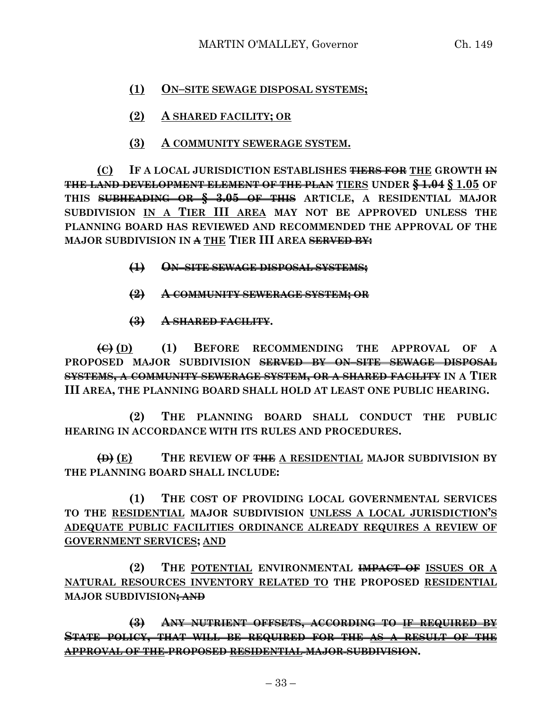# **(1) ON–SITE SEWAGE DISPOSAL SYSTEMS;**

- **(2) A SHARED FACILITY; OR**
- **(3) A COMMUNITY SEWERAGE SYSTEM.**

**(C) IF A LOCAL JURISDICTION ESTABLISHES TIERS FOR THE GROWTH IN THE LAND DEVELOPMENT ELEMENT OF THE PLAN TIERS UNDER § 1.04 § 1.05 OF THIS SUBHEADING OR § 3.05 OF THIS ARTICLE, A RESIDENTIAL MAJOR SUBDIVISION IN A TIER III AREA MAY NOT BE APPROVED UNLESS THE PLANNING BOARD HAS REVIEWED AND RECOMMENDED THE APPROVAL OF THE MAJOR SUBDIVISION IN A THE TIER III AREA SERVED BY:**

- **(1) ON–SITE SEWAGE DISPOSAL SYSTEMS;**
- **(2) A COMMUNITY SEWERAGE SYSTEM; OR**
- **(3) A SHARED FACILITY.**

**(C) (D) (1) BEFORE RECOMMENDING THE APPROVAL OF A PROPOSED MAJOR SUBDIVISION SERVED BY ON–SITE SEWAGE DISPOSAL SYSTEMS, A COMMUNITY SEWERAGE SYSTEM, OR A SHARED FACILITY IN A TIER III AREA, THE PLANNING BOARD SHALL HOLD AT LEAST ONE PUBLIC HEARING.**

**(2) THE PLANNING BOARD SHALL CONDUCT THE PUBLIC HEARING IN ACCORDANCE WITH ITS RULES AND PROCEDURES.**

**(D) (E) THE REVIEW OF THE A RESIDENTIAL MAJOR SUBDIVISION BY THE PLANNING BOARD SHALL INCLUDE:**

**(1) THE COST OF PROVIDING LOCAL GOVERNMENTAL SERVICES TO THE RESIDENTIAL MAJOR SUBDIVISION UNLESS A LOCAL JURISDICTION'S ADEQUATE PUBLIC FACILITIES ORDINANCE ALREADY REQUIRES A REVIEW OF GOVERNMENT SERVICES; AND**

**(2) THE POTENTIAL ENVIRONMENTAL IMPACT OF ISSUES OR A NATURAL RESOURCES INVENTORY RELATED TO THE PROPOSED RESIDENTIAL MAJOR SUBDIVISION; AND**

**(3) ANY NUTRIENT OFFSETS, ACCORDING TO IF REQUIRED BY STATE POLICY, THAT WILL BE REQUIRED FOR THE AS A RESULT OF THE APPROVAL OF THE PROPOSED RESIDENTIAL MAJOR SUBDIVISION.**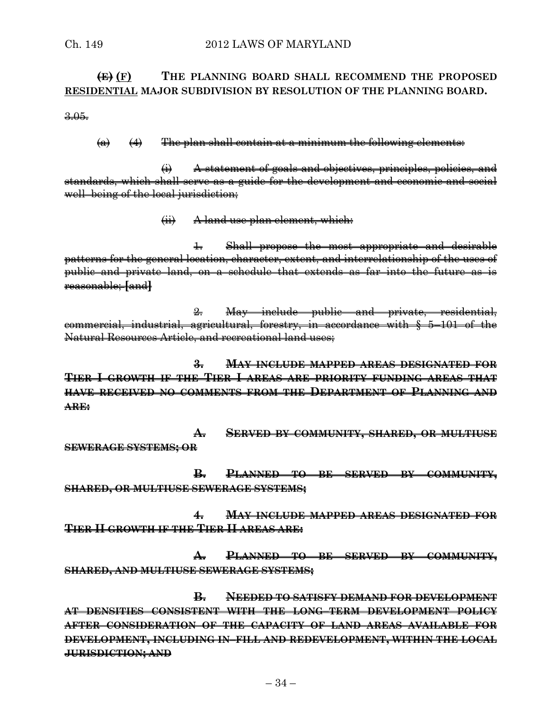### **(E) (F) THE PLANNING BOARD SHALL RECOMMEND THE PROPOSED RESIDENTIAL MAJOR SUBDIVISION BY RESOLUTION OF THE PLANNING BOARD.**

3.05.

#### $(a)$   $(4)$  The plan shall contain at a minimum the following elements:

(i) A statement of goals and objectives, principles, policies, and standards, which shall serve as a guide for the development and economic and social well–being of the local jurisdiction;

(ii) A land use plan element, which:

1. Shall propose the most appropriate and desirable patterns for the general location, character, extent, and interrelationship of the uses of public and private land, on a schedule that extends as far into the future as is reasonable; **[**and**]**

2. May include public and private, residential, commercial, industrial, agricultural, forestry, in accordance with § 5–101 of the Natural Resources Article, and recreational land uses;

**3. MAY INCLUDE MAPPED AREAS DESIGNATED FOR TIER I GROWTH IF THE TIER I AREAS ARE PRIORITY FUNDING AREAS THAT HAVE RECEIVED NO COMMENTS FROM THE DEPARTMENT OF PLANNING AND ARE:**

**A. SERVED BY COMMUNITY, SHARED, OR MULTIUSE SEWERAGE SYSTEMS; OR** 

**B. PLANNED TO BE SERVED BY COMMUNITY, SHARED, OR MULTIUSE SEWERAGE SYSTEMS;**

**4. MAY INCLUDE MAPPED AREAS DESIGNATED FOR TIER II GROWTH IF THE TIER II AREAS ARE:**

**A. PLANNED TO BE SERVED BY COMMUNITY, SHARED, AND MULTIUSE SEWERAGE SYSTEMS;**

**B. NEEDED TO SATISFY DEMAND FOR DEVELOPMENT AT DENSITIES CONSISTENT WITH THE LONG–TERM DEVELOPMENT POLICY AFTER CONSIDERATION OF THE CAPACITY OF LAND AREAS AVAILABLE FOR DEVELOPMENT, INCLUDING IN–FILL AND REDEVELOPMENT, WITHIN THE LOCAL JURISDICTION; AND**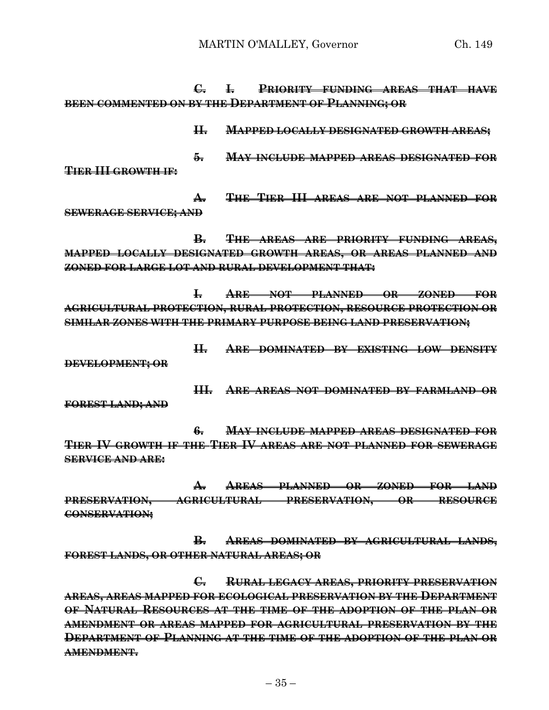**C. I. PRIORITY FUNDING AREAS THAT HAVE BEEN COMMENTED ON BY THE DEPARTMENT OF PLANNING; OR** 

**II. MAPPED LOCALLY DESIGNATED GROWTH AREAS; 5. MAY INCLUDE MAPPED AREAS DESIGNATED FOR TIER III GROWTH IF:**

**A. THE TIER III AREAS ARE NOT PLANNED FOR SEWERAGE SERVICE; AND**

**B. THE AREAS ARE PRIORITY FUNDING AREAS, MAPPED LOCALLY DESIGNATED GROWTH AREAS, OR AREAS PLANNED AND ZONED FOR LARGE LOT AND RURAL DEVELOPMENT THAT:**

**I. ARE NOT PLANNED OR ZONED FOR AGRICULTURAL PROTECTION, RURAL PROTECTION, RESOURCE PROTECTION OR SIMILAR ZONES WITH THE PRIMARY PURPOSE BEING LAND PRESERVATION;**

**II. ARE DOMINATED BY EXISTING LOW DENSITY**

**DEVELOPMENT; OR**

**III. ARE AREAS NOT DOMINATED BY FARMLAND OR**

**FOREST LAND; AND**

**6. MAY INCLUDE MAPPED AREAS DESIGNATED FOR TIER IV GROWTH IF THE TIER IV AREAS ARE NOT PLANNED FOR SEWERAGE SERVICE AND ARE:**

**A. AREAS PLANNED OR ZONED FOR LAND PRESERVATION, AGRICULTURAL PRESERVATION, OR RESOURCE CONSERVATION;**

**B. AREAS DOMINATED BY AGRICULTURAL LANDS, FOREST LANDS, OR OTHER NATURAL AREAS; OR**

**C. RURAL LEGACY AREAS, PRIORITY PRESERVATION AREAS, AREAS MAPPED FOR ECOLOGICAL PRESERVATION BY THE DEPARTMENT OF NATURAL RESOURCES AT THE TIME OF THE ADOPTION OF THE PLAN OR AMENDMENT OR AREAS MAPPED FOR AGRICULTURAL PRESERVATION BY THE DEPARTMENT OF PLANNING AT THE TIME OF THE ADOPTION OF THE PLAN OR AMENDMENT.**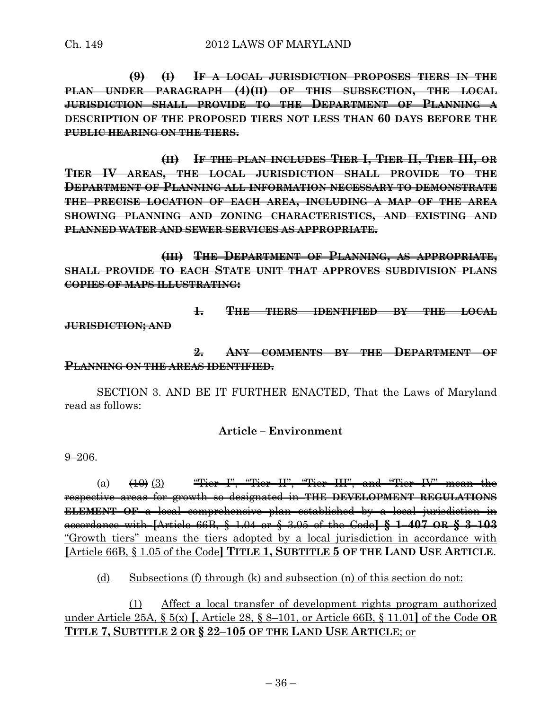**(9) (I) IF A LOCAL JURISDICTION PROPOSES TIERS IN THE PLAN UNDER PARAGRAPH (4)(II) OF THIS SUBSECTION, THE LOCAL JURISDICTION SHALL PROVIDE TO THE DEPARTMENT OF PLANNING DESCRIPTION OF THE PROPOSED TIERS NOT LESS THAN 60 DAYS BEFORE THE PUBLIC HEARING ON THE TIERS.**

**(II) IF THE PLAN INCLUDES TIER I, TIER II, TIER III, OR TIER IV AREAS, THE LOCAL JURISDICTION SHALL PROVIDE TO THE DEPARTMENT OF PLANNING ALL INFORMATION NECESSARY TO DEMONSTRATE THE PRECISE LOCATION OF EACH AREA, INCLUDING A MAP OF THE AREA SHOWING PLANNING AND ZONING CHARACTERISTICS, AND EXISTING AND PLANNED WATER AND SEWER SERVICES AS APPROPRIATE.**

**(III) THE DEPARTMENT OF PLANNING, AS APPROPRIATE, SHALL PROVIDE TO EACH STATE UNIT THAT APPROVES SUBDIVISION PLANS COPIES OF MAPS ILLUSTRATING:**

**1. THE TIERS IDENTIFIED BY THE LOCAL JURISDICTION; AND**

### **2. ANY COMMENTS BY THE DEPARTMENT OF PLANNING ON THE AREAS IDENTIFIED.**

SECTION 3. AND BE IT FURTHER ENACTED, That the Laws of Maryland read as follows:

# **Article – Environment**

9–206.

(a)  $(10)$  (3) "Tier I", "Tier II", "Tier III", and "Tier IV" mean the respective areas for growth so designated in **THE DEVELOPMENT REGULATIONS ELEMENT OF** a local comprehensive plan established by a local jurisdiction in accordance with **[**Article 66B, § 1.04 or § 3.05 of the Code**] § 1–407 OR § 3–103** "Growth tiers" means the tiers adopted by a local jurisdiction in accordance with **[**Article 66B, § 1.05 of the Code**] TITLE 1, SUBTITLE 5 OF THE LAND USE ARTICLE**.

(d) Subsections (f) through (k) and subsection (n) of this section do not:

(1) Affect a local transfer of development rights program authorized under Article 25A, § 5(x) **[**, Article 28, § 8–101, or Article 66B, § 11.01**]** of the Code **OR TITLE 7, SUBTITLE 2 OR § 22–105 OF THE LAND USE ARTICLE**; or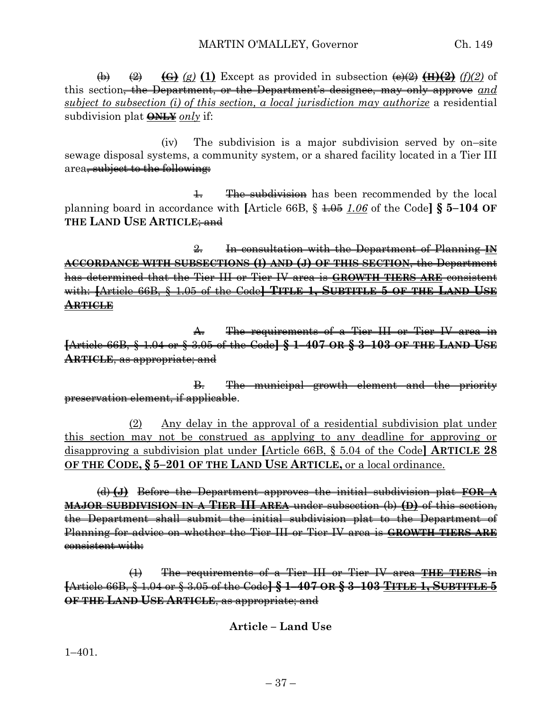(b) (2) **(G)** *(g)* **(1)** Except as provided in subsection (e)(2) **(H)(2)** *(f)(2)* of this section, the Department, or the Department's designee, may only approve *and subject to subsection (i) of this section, a local jurisdiction may authorize* a residential subdivision plat **ONLY** *only* if:

(iv) The subdivision is a major subdivision served by on–site sewage disposal systems, a community system, or a shared facility located in a Tier III area, subject to the following:

1. The subdivision has been recommended by the local planning board in accordance with **[**Article 66B, § 1.05 *1.06* of the Code**] § 5–104 OF THE LAND USE ARTICLE**; and

2. In consultation with the Department of Planning **IN ACCORDANCE WITH SUBSECTIONS (I) AND (J) OF THIS SECTION**, the Department has determined that the Tier III or Tier IV area is **GROWTH TIERS ARE** consistent with: **[**Article 66B, § 1.05 of the Code**] TITLE 1, SUBTITLE 5 OF THE LAND USE ARTICLE**

A. The requirements of a Tier III or Tier IV area in **[**Article 66B, § 1.04 or § 3.05 of the Code**] § 1–407 OR § 3–103 OF THE LAND USE ARTICLE**, as appropriate; and

B. The municipal growth element and the priority preservation element, if applicable.

(2) Any delay in the approval of a residential subdivision plat under this section may not be construed as applying to any deadline for approving or disapproving a subdivision plat under **[**Article 66B, § 5.04 of the Code**] ARTICLE 28 OF THE CODE, § 5–201 OF THE LAND USE ARTICLE,** or a local ordinance.

(d) **(J)** Before the Department approves the initial subdivision plat **FOR A MAJOR SUBDIVISION IN A TIER III AREA** under subsection (b) **(D)** of this section, the Department shall submit the initial subdivision plat to the Department of Planning for advice on whether the Tier III or Tier IV area is **GROWTH TIERS ARE** consistent with:

(1) The requirements of a Tier III or Tier IV area **THE TIERS** in **[**Article 66B, § 1.04 or § 3.05 of the Code**] § 1–407 OR § 3–103 TITLE 1, SUBTITLE 5 OF THE LAND USE ARTICLE**, as appropriate; and

**Article – Land Use**

1–401.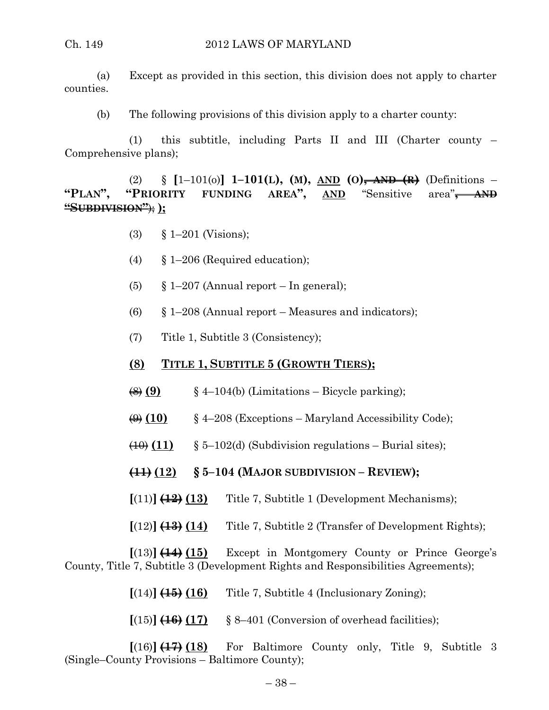(a) Except as provided in this section, this division does not apply to charter counties.

(b) The following provisions of this division apply to a charter county:

(1) this subtitle, including Parts II and III (Charter county – Comprehensive plans);

(2) § **[**1–101(o)**] 1–101(L), (M), AND (O), AND (R)** (Definitions – **"PLAN", "PRIORITY FUNDING AREA", AND** "Sensitive area"**, AND "SUBDIVISION"**); **);**

- (3) § 1–201 (Visions);
- (4) § 1–206 (Required education);
- (5)  $\S 1-207$  (Annual report In general);
- (6)  $\S$  1–208 (Annual report Measures and indicators);
- (7) Title 1, Subtitle 3 (Consistency);
- **(8) TITLE 1, SUBTITLE 5 (GROWTH TIERS);**
- $\left(\frac{8}{9}\right)$  (9)  $\qquad$  § 4–104(b) (Limitations Bicycle parking);
- $\left(\frac{\Theta}{\Theta}\right)$  (10) § 4–208 (Exceptions Maryland Accessibility Code);
- $\left(\frac{10}{11}\right)$  § 5–102(d) (Subdivision regulations Burial sites);
- **(11) (12) § 5–104 (MAJOR SUBDIVISION – REVIEW);**
- $[(11)]$   $(12)$   $(13)$  Title 7, Subtitle 1 (Development Mechanisms);
- **[**(12)**] (13) (14)** Title 7, Subtitle 2 (Transfer of Development Rights);

**[**(13)**] (14) (15)** Except in Montgomery County or Prince George's County, Title 7, Subtitle 3 (Development Rights and Responsibilities Agreements);

- $[(14)]$   $(15)$   $(16)$  Title 7, Subtitle 4 (Inclusionary Zoning);
- $[(15)]$   $(16)$   $(17)$  § 8–401 (Conversion of overhead facilities);

 $[(16)]$   $(17)$   $(18)$  For Baltimore County only, Title 9, Subtitle 3 (Single–County Provisions – Baltimore County);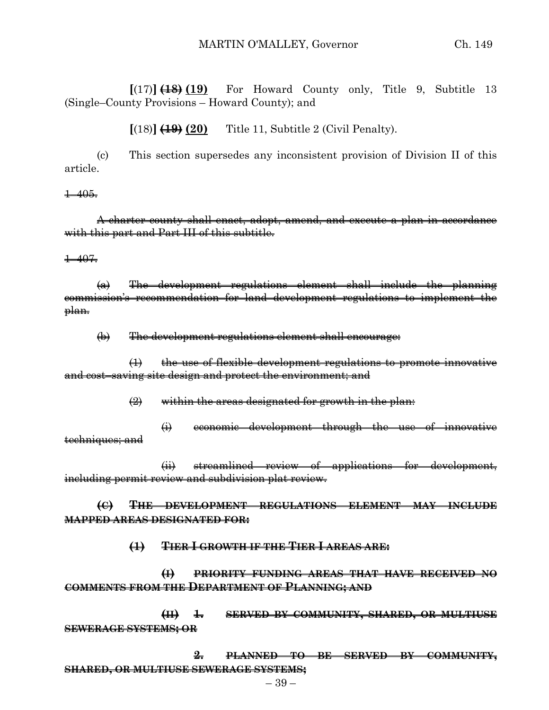$[(17)]$   $(18)$   $(19)$  For Howard County only, Title 9, Subtitle 13 (Single–County Provisions – Howard County); and

**[**(18)**] (19) (20)** Title 11, Subtitle 2 (Civil Penalty).

(c) This section supersedes any inconsistent provision of Division II of this article.

 $+405.$ 

A charter county shall enact, adopt, amend, and execute a plan in accordance with this part and Part III of this subtitle.

1–407.

(a) The development regulations element shall include the planning commission's recommendation for land development regulations to implement the <del>plan.</del>

(b) The development regulations element shall encourage:

 $(1)$  the use of flexible development regulations to promote innovative and cost–saving site design and protect the environment; and

 $\left( 2 \right)$  within the areas designated for growth in the plan:

(i) economic development through the use of innovative techniques; and

(ii) streamlined review of applications for development, including permit review and subdivision plat review.

**(C) THE DEVELOPMENT REGULATIONS ELEMENT MAY INCLUDE MAPPED AREAS DESIGNATED FOR:**

**(1) TIER I GROWTH IF THE TIER I AREAS ARE:**

**(I) PRIORITY FUNDING AREAS THAT HAVE RECEIVED NO COMMENTS FROM THE DEPARTMENT OF PLANNING; AND**

**(II) 1. SERVED BY COMMUNITY, SHARED, OR MULTIUSE SEWERAGE SYSTEMS; OR** 

**2. PLANNED TO BE SERVED BY COMMUNITY, SHARED, OR MULTIUSE SEWERAGE SYSTEMS;**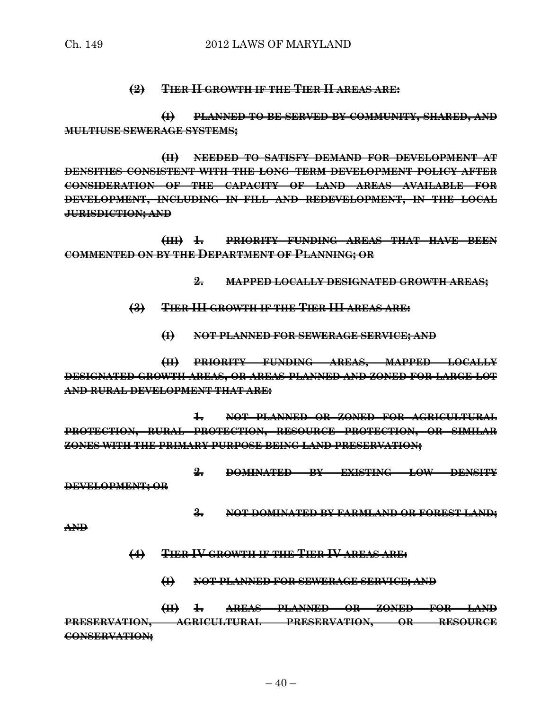#### **(2) TIER II GROWTH IF THE TIER II AREAS ARE:**

**(I) PLANNED TO BE SERVED BY COMMUNITY, SHARED, AND MULTIUSE SEWERAGE SYSTEMS;**

**(II) NEEDED TO SATISFY DEMAND FOR DEVELOPMENT AT DENSITIES CONSISTENT WITH THE LONG–TERM DEVELOPMENT POLICY AFTER CONSIDERATION OF THE CAPACITY OF LAND AREAS AVAILABLE FOR DEVELOPMENT, INCLUDING IN–FILL AND REDEVELOPMENT, IN THE LOCAL JURISDICTION; AND**

**(III) 1. PRIORITY FUNDING AREAS THAT HAVE BEEN COMMENTED ON BY THE DEPARTMENT OF PLANNING; OR** 

- **2. MAPPED LOCALLY DESIGNATED GROWTH AREAS;**
- **(3) TIER III GROWTH IF THE TIER III AREAS ARE:**
	- **(I) NOT PLANNED FOR SEWERAGE SERVICE; AND**

**(II) PRIORITY FUNDING AREAS, MAPPED LOCALLY DESIGNATED GROWTH AREAS, OR AREAS PLANNED AND ZONED FOR LARGE LOT AND RURAL DEVELOPMENT THAT ARE:**

**1. NOT PLANNED OR ZONED FOR AGRICULTURAL PROTECTION, RURAL PROTECTION, RESOURCE PROTECTION, OR SIMILAR ZONES WITH THE PRIMARY PURPOSE BEING LAND PRESERVATION;**

**2. DOMINATED BY EXISTING LOW DENSITY DEVELOPMENT; OR**

**3. NOT DOMINATED BY FARMLAND OR FOREST LAND;**

**AND**

- **(4) TIER IV GROWTH IF THE TIER IV AREAS ARE:**
	- **(I) NOT PLANNED FOR SEWERAGE SERVICE; AND**

**(II) 1. AREAS PLANNED OR ZONED FOR LAND PRESERVATION, AGRICULTURAL PRESERVATION, OR RESOURCE CONSERVATION;**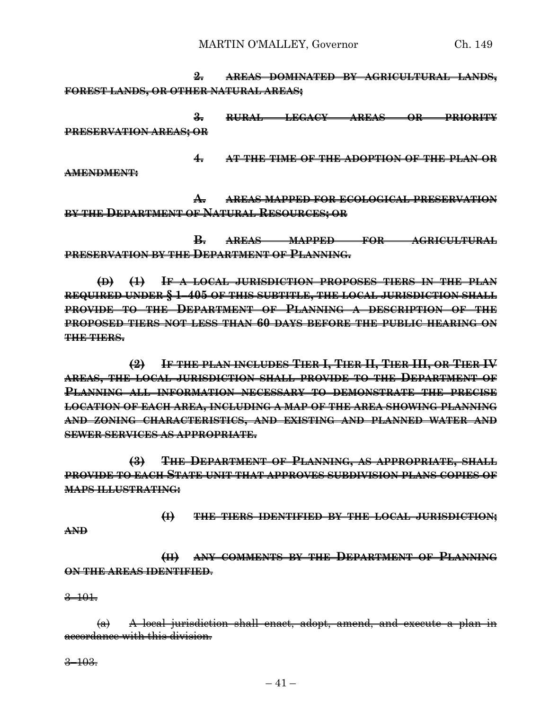**2. AREAS DOMINATED BY AGRICULTURAL LANDS, FOREST LANDS, OR OTHER NATURAL AREAS;**

**3. RURAL LEGACY AREAS OR PRIORITY PRESERVATION AREAS; OR**

**4. AT THE TIME OF THE ADOPTION OF THE PLAN OR**

**AMENDMENT:**

**A. AREAS MAPPED FOR ECOLOGICAL PRESERVATION BY THE DEPARTMENT OF NATURAL RESOURCES; OR**

**B. AREAS MAPPED FOR AGRICULTURAL PRESERVATION BY THE DEPARTMENT OF PLANNING.**

**(D) (1) IF A LOCAL JURISDICTION PROPOSES TIERS IN THE PLAN REQUIRED UNDER § 1–405 OF THIS SUBTITLE, THE LOCAL JURISDICTION SHALL PROVIDE TO THE DEPARTMENT OF PLANNING A DESCRIPTION OF THE PROPOSED TIERS NOT LESS THAN 60 DAYS BEFORE THE PUBLIC HEARING ON THE TIERS.**

**(2) IF THE PLAN INCLUDES TIER I, TIER II, TIER III, OR TIER IV AREAS, THE LOCAL JURISDICTION SHALL PROVIDE TO THE DEPARTMENT OF PLANNING ALL INFORMATION NECESSARY TO DEMONSTRATE THE PRECISE LOCATION OF EACH AREA, INCLUDING A MAP OF THE AREA SHOWING PLANNING AND ZONING CHARACTERISTICS, AND EXISTING AND PLANNED WATER AND SEWER SERVICES AS APPROPRIATE.**

**(3) THE DEPARTMENT OF PLANNING, AS APPROPRIATE, SHALL PROVIDE TO EACH STATE UNIT THAT APPROVES SUBDIVISION PLANS COPIES OF MAPS ILLUSTRATING:**

**(I) THE TIERS IDENTIFIED BY THE LOCAL JURISDICTION;**

**AND**

**(II) ANY COMMENTS BY THE DEPARTMENT OF PLANNING ON THE AREAS IDENTIFIED**.

3–101.

(a) A local jurisdiction shall enact, adopt, amend, and execute a plan in accordance with this division.

 $3 - 103.$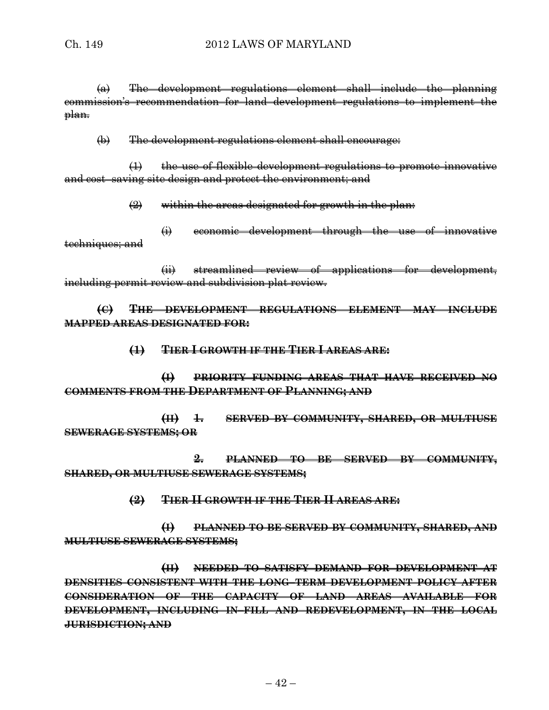(a) The development regulations element shall include the planning commission's recommendation for land development regulations to implement the <del>plan.</del>

(b) The development regulations element shall encourage:

(1) the use of flexible development regulations to promote innovative and cost–saving site design and protect the environment; and

 $\left( 2 \right)$  within the areas designated for growth in the plan:

(i) economic development through the use of innovative techniques; and

(ii) streamlined review of applications for development, including permit review and subdivision plat review.

**(C) THE DEVELOPMENT REGULATIONS ELEMENT MAY INCLUDE MAPPED AREAS DESIGNATED FOR:**

**(1) TIER I GROWTH IF THE TIER I AREAS ARE:**

**(I) PRIORITY FUNDING AREAS THAT HAVE RECEIVED NO COMMENTS FROM THE DEPARTMENT OF PLANNING; AND**

**(II) 1. SERVED BY COMMUNITY, SHARED, OR MULTIUSE SEWERAGE SYSTEMS; OR** 

**2. PLANNED TO BE SERVED BY COMMUNITY, SHARED, OR MULTIUSE SEWERAGE SYSTEMS;**

**(2) TIER II GROWTH IF THE TIER II AREAS ARE:**

**(I) PLANNED TO BE SERVED BY COMMUNITY, SHARED, AND MULTIUSE SEWERAGE SYSTEMS;**

**(II) NEEDED TO SATISFY DEMAND FOR DEVELOPMENT AT DENSITIES CONSISTENT WITH THE LONG–TERM DEVELOPMENT POLICY AFTER CONSIDERATION OF THE CAPACITY OF LAND AREAS AVAILABLE FOR DEVELOPMENT, INCLUDING IN–FILL AND REDEVELOPMENT, IN THE LOCAL JURISDICTION; AND**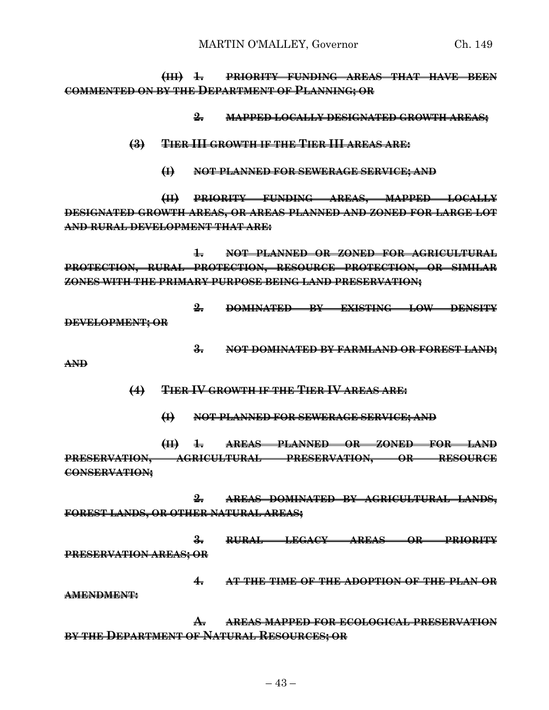MARTIN O'MALLEY, Governor Ch. 149

**(III) 1. PRIORITY FUNDING AREAS THAT HAVE BEEN COMMENTED ON BY THE DEPARTMENT OF PLANNING; OR** 

**2. MAPPED LOCALLY DESIGNATED GROWTH AREAS;**

- **(3) TIER III GROWTH IF THE TIER III AREAS ARE:**
	- **(I) NOT PLANNED FOR SEWERAGE SERVICE; AND**

**(II) PRIORITY FUNDING AREAS, MAPPED LOCALLY DESIGNATED GROWTH AREAS, OR AREAS PLANNED AND ZONED FOR LARGE LOT AND RURAL DEVELOPMENT THAT ARE:**

**1. NOT PLANNED OR ZONED FOR AGRICULTURAL PROTECTION, RURAL PROTECTION, RESOURCE PROTECTION, OR SIMILAR ZONES WITH THE PRIMARY PURPOSE BEING LAND PRESERVATION;**

**2. DOMINATED BY EXISTING LOW DENSITY DEVELOPMENT; OR**

**3. NOT DOMINATED BY FARMLAND OR FOREST LAND;**

**AND**

- **(4) TIER IV GROWTH IF THE TIER IV AREAS ARE:**
	- **(I) NOT PLANNED FOR SEWERAGE SERVICE; AND**

**(II) 1. AREAS PLANNED OR ZONED FOR LAND PRESERVATION, AGRICULTURAL PRESERVATION, OR RESOURCE CONSERVATION;**

**2. AREAS DOMINATED BY AGRICULTURAL LANDS, FOREST LANDS, OR OTHER NATURAL AREAS;**

**3. RURAL LEGACY AREAS OR PRIORITY PRESERVATION AREAS; OR**

**4. AT THE TIME OF THE ADOPTION OF THE PLAN OR AMENDMENT:**

**A. AREAS MAPPED FOR ECOLOGICAL PRESERVATION BY THE DEPARTMENT OF NATURAL RESOURCES; OR**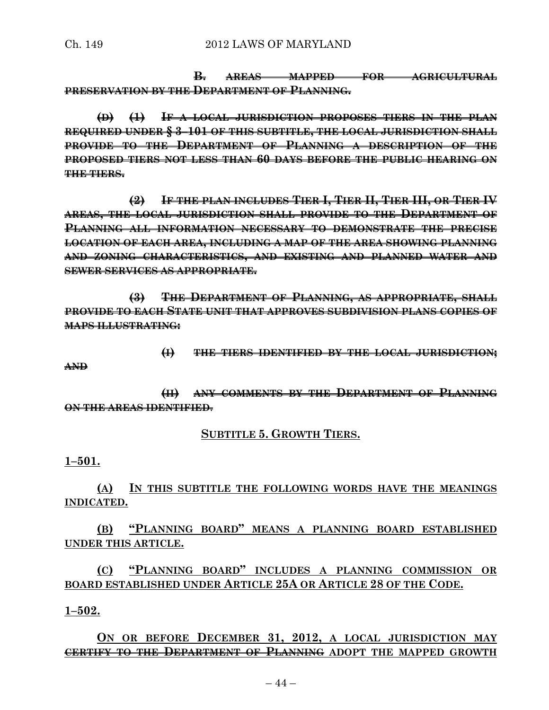**B. AREAS MAPPED FOR AGRICULTURAL PRESERVATION BY THE DEPARTMENT OF PLANNING.**

**(D) (1) IF A LOCAL JURISDICTION PROPOSES TIERS IN THE PLAN REQUIRED UNDER § 3–101 OF THIS SUBTITLE, THE LOCAL JURISDICTION SHALL PROVIDE TO THE DEPARTMENT OF PLANNING A DESCRIPTION OF THE PROPOSED TIERS NOT LESS THAN 60 DAYS BEFORE THE PUBLIC HEARING ON THE TIERS.**

**(2) IF THE PLAN INCLUDES TIER I, TIER II, TIER III, OR TIER IV AREAS, THE LOCAL JURISDICTION SHALL PROVIDE TO THE DEPARTMENT OF PLANNING ALL INFORMATION NECESSARY TO DEMONSTRATE THE PRECISE LOCATION OF EACH AREA, INCLUDING A MAP OF THE AREA SHOWING PLANNING AND ZONING CHARACTERISTICS, AND EXISTING AND PLANNED WATER AND SEWER SERVICES AS APPROPRIATE.**

**(3) THE DEPARTMENT OF PLANNING, AS APPROPRIATE, SHALL PROVIDE TO EACH STATE UNIT THAT APPROVES SUBDIVISION PLANS COPIES OF MAPS ILLUSTRATING:**

**AND**

**(I) THE TIERS IDENTIFIED BY THE LOCAL JURISDICTION;**

**(II) ANY COMMENTS BY THE DEPARTMENT OF PLANNING ON THE AREAS IDENTIFIED**.

### **SUBTITLE 5. GROWTH TIERS.**

**1–501.**

**(A) IN THIS SUBTITLE THE FOLLOWING WORDS HAVE THE MEANINGS INDICATED.**

**(B) "PLANNING BOARD" MEANS A PLANNING BOARD ESTABLISHED UNDER THIS ARTICLE.**

**(C) "PLANNING BOARD" INCLUDES A PLANNING COMMISSION OR BOARD ESTABLISHED UNDER ARTICLE 25A OR ARTICLE 28 OF THE CODE.**

**1–502.**

**ON OR BEFORE DECEMBER 31, 2012, A LOCAL JURISDICTION MAY CERTIFY TO THE DEPARTMENT OF PLANNING ADOPT THE MAPPED GROWTH**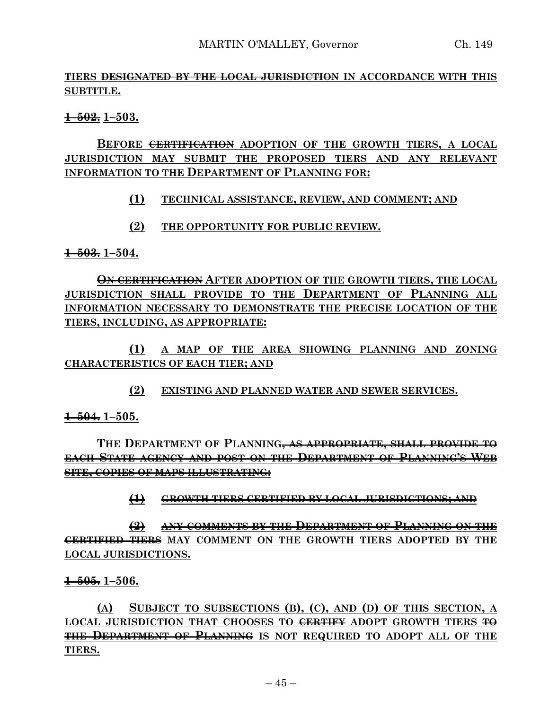# **TIERS DESIGNATED BY THE LOCAL JURISDICTION IN ACCORDANCE WITH THIS SUBTITLE.**

**1–502. 1–503.**

# **BEFORE CERTIFICATION ADOPTION OF THE GROWTH TIERS, A LOCAL JURISDICTION MAY SUBMIT THE PROPOSED TIERS AND ANY RELEVANT INFORMATION TO THE DEPARTMENT OF PLANNING FOR:**

# **(1) TECHNICAL ASSISTANCE, REVIEW, AND COMMENT; AND**

**(2) THE OPPORTUNITY FOR PUBLIC REVIEW.**

**1–503. 1–504.**

**ON CERTIFICATION AFTER ADOPTION OF THE GROWTH TIERS, THE LOCAL JURISDICTION SHALL PROVIDE TO THE DEPARTMENT OF PLANNING ALL INFORMATION NECESSARY TO DEMONSTRATE THE PRECISE LOCATION OF THE TIERS, INCLUDING, AS APPROPRIATE:**

**(1) A MAP OF THE AREA SHOWING PLANNING AND ZONING CHARACTERISTICS OF EACH TIER; AND**

**(2) EXISTING AND PLANNED WATER AND SEWER SERVICES.**

**1–504. 1–505.**

# **THE DEPARTMENT OF PLANNING, AS APPROPRIATE, SHALL PROVIDE TO EACH STATE AGENCY AND POST ON THE DEPARTMENT OF PLANNING'S WEB SITE, COPIES OF MAPS ILLUSTRATING:**

# **(1) GROWTH TIERS CERTIFIED BY LOCAL JURISDICTIONS; AND**

**(2) ANY COMMENTS BY THE DEPARTMENT OF PLANNING ON THE CERTIFIED TIERS MAY COMMENT ON THE GROWTH TIERS ADOPTED BY THE LOCAL JURISDICTIONS.**

### **1–505. 1–506.**

**(A) SUBJECT TO SUBSECTIONS (B), (C), AND (D) OF THIS SECTION, A LOCAL JURISDICTION THAT CHOOSES TO CERTIFY ADOPT GROWTH TIERS TO THE DEPARTMENT OF PLANNING IS NOT REQUIRED TO ADOPT ALL OF THE TIERS.**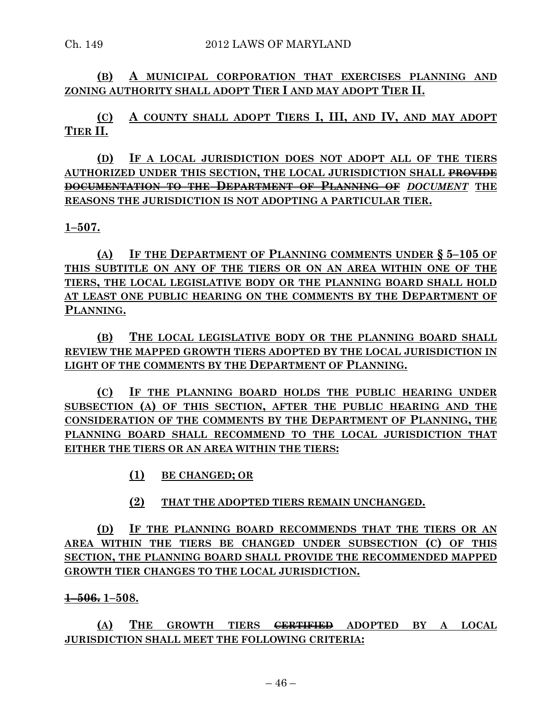**(B) A MUNICIPAL CORPORATION THAT EXERCISES PLANNING AND ZONING AUTHORITY SHALL ADOPT TIER I AND MAY ADOPT TIER II.**

**(C) A COUNTY SHALL ADOPT TIERS I, III, AND IV, AND MAY ADOPT TIER II.**

**(D) IF A LOCAL JURISDICTION DOES NOT ADOPT ALL OF THE TIERS AUTHORIZED UNDER THIS SECTION, THE LOCAL JURISDICTION SHALL PROVIDE DOCUMENTATION TO THE DEPARTMENT OF PLANNING OF** *DOCUMENT* **THE REASONS THE JURISDICTION IS NOT ADOPTING A PARTICULAR TIER.**

**1–507.**

**(A) IF THE DEPARTMENT OF PLANNING COMMENTS UNDER § 5–105 OF THIS SUBTITLE ON ANY OF THE TIERS OR ON AN AREA WITHIN ONE OF THE TIERS, THE LOCAL LEGISLATIVE BODY OR THE PLANNING BOARD SHALL HOLD AT LEAST ONE PUBLIC HEARING ON THE COMMENTS BY THE DEPARTMENT OF PLANNING.**

**(B) THE LOCAL LEGISLATIVE BODY OR THE PLANNING BOARD SHALL REVIEW THE MAPPED GROWTH TIERS ADOPTED BY THE LOCAL JURISDICTION IN LIGHT OF THE COMMENTS BY THE DEPARTMENT OF PLANNING.**

**(C) IF THE PLANNING BOARD HOLDS THE PUBLIC HEARING UNDER SUBSECTION (A) OF THIS SECTION, AFTER THE PUBLIC HEARING AND THE CONSIDERATION OF THE COMMENTS BY THE DEPARTMENT OF PLANNING, THE PLANNING BOARD SHALL RECOMMEND TO THE LOCAL JURISDICTION THAT EITHER THE TIERS OR AN AREA WITHIN THE TIERS:**

**(1) BE CHANGED; OR**

**(2) THAT THE ADOPTED TIERS REMAIN UNCHANGED.**

**(D) IF THE PLANNING BOARD RECOMMENDS THAT THE TIERS OR AN AREA WITHIN THE TIERS BE CHANGED UNDER SUBSECTION (C) OF THIS SECTION, THE PLANNING BOARD SHALL PROVIDE THE RECOMMENDED MAPPED GROWTH TIER CHANGES TO THE LOCAL JURISDICTION.**

**1–506. 1–508.**

**(A) THE GROWTH TIERS CERTIFIED ADOPTED BY A LOCAL JURISDICTION SHALL MEET THE FOLLOWING CRITERIA:**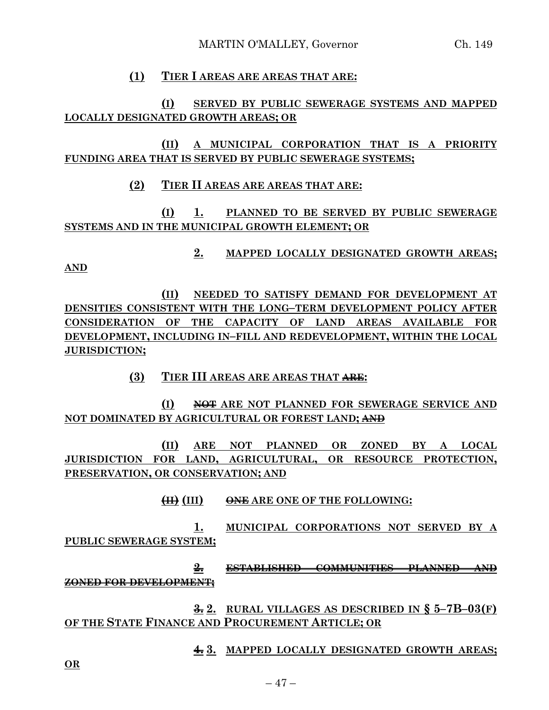### **(1) TIER I AREAS ARE AREAS THAT ARE:**

**(I) SERVED BY PUBLIC SEWERAGE SYSTEMS AND MAPPED LOCALLY DESIGNATED GROWTH AREAS; OR**

**(II) A MUNICIPAL CORPORATION THAT IS A PRIORITY FUNDING AREA THAT IS SERVED BY PUBLIC SEWERAGE SYSTEMS;**

#### **(2) TIER II AREAS ARE AREAS THAT ARE:**

**(I) 1. PLANNED TO BE SERVED BY PUBLIC SEWERAGE SYSTEMS AND IN THE MUNICIPAL GROWTH ELEMENT; OR**

**2. MAPPED LOCALLY DESIGNATED GROWTH AREAS;**

**AND**

**(II) NEEDED TO SATISFY DEMAND FOR DEVELOPMENT AT DENSITIES CONSISTENT WITH THE LONG–TERM DEVELOPMENT POLICY AFTER CONSIDERATION OF THE CAPACITY OF LAND AREAS AVAILABLE FOR DEVELOPMENT, INCLUDING IN–FILL AND REDEVELOPMENT, WITHIN THE LOCAL JURISDICTION;**

**(3) TIER III AREAS ARE AREAS THAT ARE:**

**(I) NOT ARE NOT PLANNED FOR SEWERAGE SERVICE AND NOT DOMINATED BY AGRICULTURAL OR FOREST LAND; AND**

**(II) ARE NOT PLANNED OR ZONED BY A LOCAL JURISDICTION FOR LAND, AGRICULTURAL, OR RESOURCE PROTECTION, PRESERVATION, OR CONSERVATION; AND**

**(II) (III) ONE ARE ONE OF THE FOLLOWING:**

**1. MUNICIPAL CORPORATIONS NOT SERVED BY A PUBLIC SEWERAGE SYSTEM;**

**2. ESTABLISHED COMMUNITIES PLANNED AND ZONED FOR DEVELOPMENT;**

**3. 2. RURAL VILLAGES AS DESCRIBED IN § 5–7B–03(F) OF THE STATE FINANCE AND PROCUREMENT ARTICLE; OR**

**4. 3. MAPPED LOCALLY DESIGNATED GROWTH AREAS;**

**OR**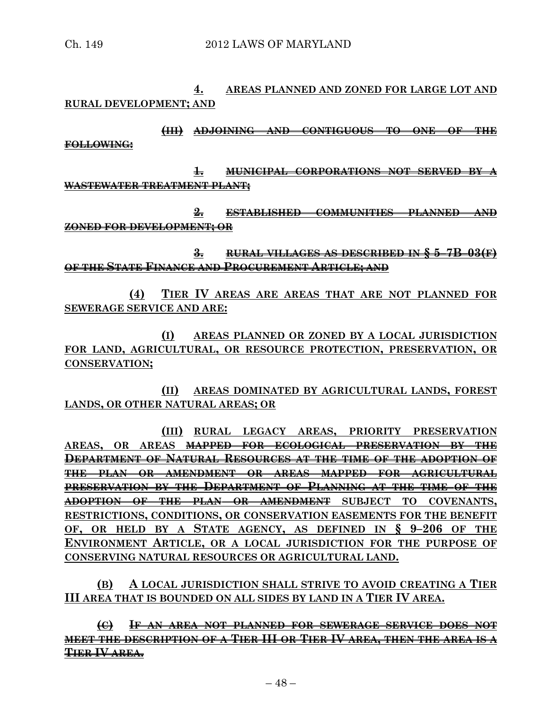**4. AREAS PLANNED AND ZONED FOR LARGE LOT AND RURAL DEVELOPMENT; AND**

**(III) ADJOINING AND CONTIGUOUS TO ONE OF THE FOLLOWING:**

**1. MUNICIPAL CORPORATIONS NOT SERVED BY A WASTEWATER TREATMENT PLANT;**

**2. ESTABLISHED COMMUNITIES PLANNED AND ZONED FOR DEVELOPMENT; OR**

**3. RURAL VILLAGES AS DESCRIBED IN § 5–7B–03(F) OF THE STATE FINANCE AND PROCUREMENT ARTICLE; AND**

**(4) TIER IV AREAS ARE AREAS THAT ARE NOT PLANNED FOR SEWERAGE SERVICE AND ARE:**

**(I) AREAS PLANNED OR ZONED BY A LOCAL JURISDICTION FOR LAND, AGRICULTURAL, OR RESOURCE PROTECTION, PRESERVATION, OR CONSERVATION;**

**(II) AREAS DOMINATED BY AGRICULTURAL LANDS, FOREST LANDS, OR OTHER NATURAL AREAS; OR**

**(III) RURAL LEGACY AREAS, PRIORITY PRESERVATION AREAS, OR AREAS MAPPED FOR ECOLOGICAL PRESERVATION BY THE DEPARTMENT OF NATURAL RESOURCES AT THE TIME OF THE ADOPTION OF THE PLAN OR AMENDMENT OR AREAS MAPPED FOR AGRICULTURAL PRESERVATION BY THE DEPARTMENT OF PLANNING AT THE TIME OF THE ADOPTION OF THE PLAN OR AMENDMENT SUBJECT TO COVENANTS, RESTRICTIONS, CONDITIONS, OR CONSERVATION EASEMENTS FOR THE BENEFIT OF, OR HELD BY A STATE AGENCY, AS DEFINED IN § 9–206 OF THE ENVIRONMENT ARTICLE, OR A LOCAL JURISDICTION FOR THE PURPOSE OF CONSERVING NATURAL RESOURCES OR AGRICULTURAL LAND.**

**(B) A LOCAL JURISDICTION SHALL STRIVE TO AVOID CREATING A TIER III AREA THAT IS BOUNDED ON ALL SIDES BY LAND IN A TIER IV AREA.**

**(C) IF AN AREA NOT PLANNED FOR SEWERAGE SERVICE DOES NOT MEET THE DESCRIPTION OF A TIER III OR TIER IV AREA, THEN THE AREA IS A TIER IV AREA.**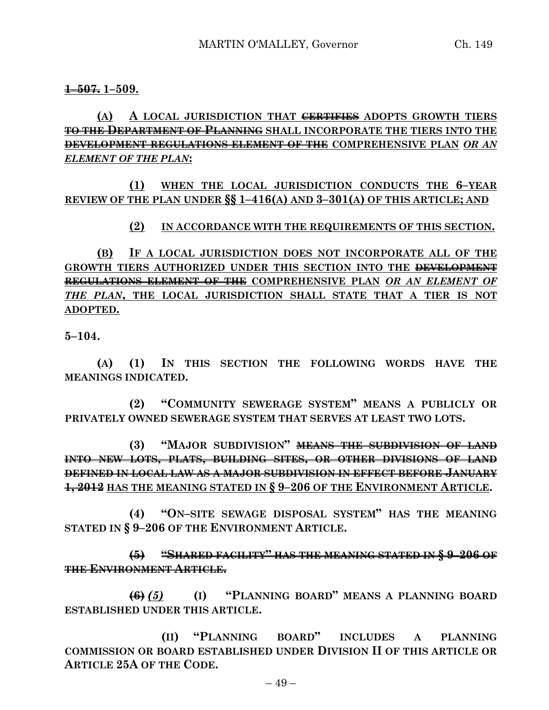#### **1–507. 1–509.**

# **(A) A LOCAL JURISDICTION THAT CERTIFIES ADOPTS GROWTH TIERS TO THE DEPARTMENT OF PLANNING SHALL INCORPORATE THE TIERS INTO THE DEVELOPMENT REGULATIONS ELEMENT OF THE COMPREHENSIVE PLAN** *OR AN ELEMENT OF THE PLAN***:**

# **(1) WHEN THE LOCAL JURISDICTION CONDUCTS THE 6–YEAR REVIEW OF THE PLAN UNDER §§ 1–416(A) AND 3–301(A) OF THIS ARTICLE; AND**

### **(2) IN ACCORDANCE WITH THE REQUIREMENTS OF THIS SECTION.**

**(B) IF A LOCAL JURISDICTION DOES NOT INCORPORATE ALL OF THE GROWTH TIERS AUTHORIZED UNDER THIS SECTION INTO THE DEVELOPMENT REGULATIONS ELEMENT OF THE COMPREHENSIVE PLAN** *OR AN ELEMENT OF THE PLAN***, THE LOCAL JURISDICTION SHALL STATE THAT A TIER IS NOT ADOPTED.**

**5–104.**

**(A) (1) IN THIS SECTION THE FOLLOWING WORDS HAVE THE MEANINGS INDICATED.**

**(2) "COMMUNITY SEWERAGE SYSTEM" MEANS A PUBLICLY OR PRIVATELY OWNED SEWERAGE SYSTEM THAT SERVES AT LEAST TWO LOTS.**

**(3) "MAJOR SUBDIVISION" MEANS THE SUBDIVISION OF LAND INTO NEW LOTS, PLATS, BUILDING SITES, OR OTHER DIVISIONS OF LAND DEFINED IN LOCAL LAW AS A MAJOR SUBDIVISION IN EFFECT BEFORE JANUARY 1, 2012 HAS THE MEANING STATED IN § 9–206 OF THE ENVIRONMENT ARTICLE.**

**(4) "ON–SITE SEWAGE DISPOSAL SYSTEM" HAS THE MEANING STATED IN § 9–206 OF THE ENVIRONMENT ARTICLE.**

**(5) "SHARED FACILITY" HAS THE MEANING STATED IN § 9–206 OF THE ENVIRONMENT ARTICLE.**

**(6)** *(5)* **(I) "PLANNING BOARD" MEANS A PLANNING BOARD ESTABLISHED UNDER THIS ARTICLE.**

**(II) "PLANNING BOARD" INCLUDES A PLANNING COMMISSION OR BOARD ESTABLISHED UNDER DIVISION II OF THIS ARTICLE OR ARTICLE 25A OF THE CODE.**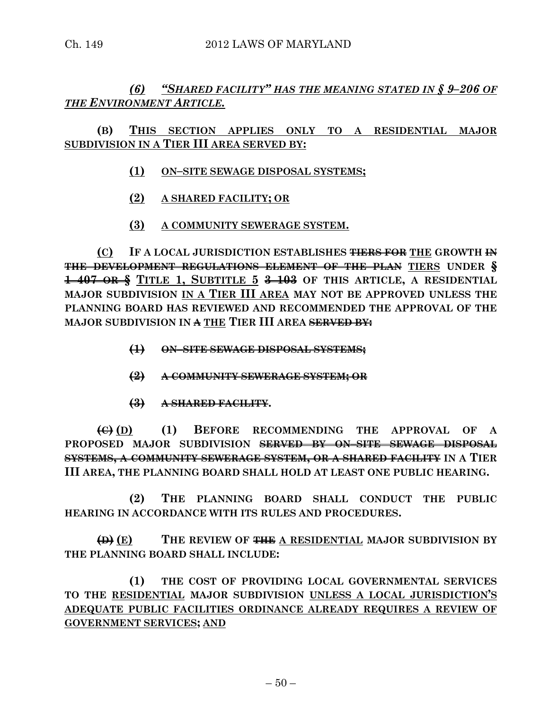# *(6) "SHARED FACILITY" HAS THE MEANING STATED IN § 9–206 OF THE ENVIRONMENT ARTICLE.*

# **(B) THIS SECTION APPLIES ONLY TO A RESIDENTIAL MAJOR SUBDIVISION IN A TIER III AREA SERVED BY:**

- **(1) ON–SITE SEWAGE DISPOSAL SYSTEMS;**
- **(2) A SHARED FACILITY; OR**
- **(3) A COMMUNITY SEWERAGE SYSTEM.**

**(C) IF A LOCAL JURISDICTION ESTABLISHES TIERS FOR THE GROWTH IN THE DEVELOPMENT REGULATIONS ELEMENT OF THE PLAN TIERS UNDER § 1–407 OR § TITLE 1, SUBTITLE 5 3–103 OF THIS ARTICLE, A RESIDENTIAL MAJOR SUBDIVISION IN A TIER III AREA MAY NOT BE APPROVED UNLESS THE PLANNING BOARD HAS REVIEWED AND RECOMMENDED THE APPROVAL OF THE MAJOR SUBDIVISION IN A THE TIER III AREA SERVED BY:**

- **(1) ON–SITE SEWAGE DISPOSAL SYSTEMS;**
- **(2) A COMMUNITY SEWERAGE SYSTEM; OR**
- **(3) A SHARED FACILITY.**

**(C) (D) (1) BEFORE RECOMMENDING THE APPROVAL OF A PROPOSED MAJOR SUBDIVISION SERVED BY ON–SITE SEWAGE DISPOSAL SYSTEMS, A COMMUNITY SEWERAGE SYSTEM, OR A SHARED FACILITY IN A TIER III AREA, THE PLANNING BOARD SHALL HOLD AT LEAST ONE PUBLIC HEARING.**

**(2) THE PLANNING BOARD SHALL CONDUCT THE PUBLIC HEARING IN ACCORDANCE WITH ITS RULES AND PROCEDURES.**

**(D) (E) THE REVIEW OF THE A RESIDENTIAL MAJOR SUBDIVISION BY THE PLANNING BOARD SHALL INCLUDE:**

**(1) THE COST OF PROVIDING LOCAL GOVERNMENTAL SERVICES TO THE RESIDENTIAL MAJOR SUBDIVISION UNLESS A LOCAL JURISDICTION'S ADEQUATE PUBLIC FACILITIES ORDINANCE ALREADY REQUIRES A REVIEW OF GOVERNMENT SERVICES; AND**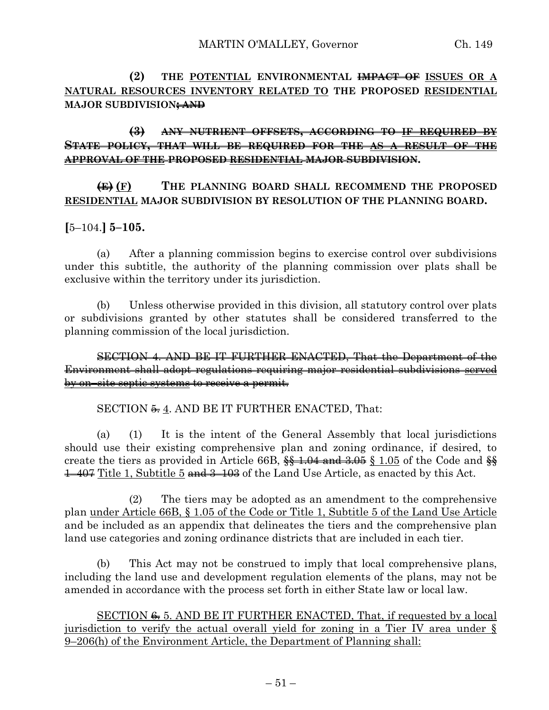**(2) THE POTENTIAL ENVIRONMENTAL IMPACT OF ISSUES OR A NATURAL RESOURCES INVENTORY RELATED TO THE PROPOSED RESIDENTIAL MAJOR SUBDIVISION; AND**

# **(3) ANY NUTRIENT OFFSETS, ACCORDING TO IF REQUIRED BY STATE POLICY, THAT WILL BE REQUIRED FOR THE AS A RESULT OF THE APPROVAL OF THE PROPOSED RESIDENTIAL MAJOR SUBDIVISION.**

# **(E) (F) THE PLANNING BOARD SHALL RECOMMEND THE PROPOSED RESIDENTIAL MAJOR SUBDIVISION BY RESOLUTION OF THE PLANNING BOARD.**

# **[**5–104.**] 5–105.**

(a) After a planning commission begins to exercise control over subdivisions under this subtitle, the authority of the planning commission over plats shall be exclusive within the territory under its jurisdiction.

(b) Unless otherwise provided in this division, all statutory control over plats or subdivisions granted by other statutes shall be considered transferred to the planning commission of the local jurisdiction.

SECTION 4. AND BE IT FURTHER ENACTED, That the Department of the Environment shall adopt regulations requiring major residential subdivisions served by on–site septic systems to receive a permit.

### SECTION  $\frac{2}{3}$ , AND BE IT FURTHER ENACTED, That:

(a) (1) It is the intent of the General Assembly that local jurisdictions should use their existing comprehensive plan and zoning ordinance, if desired, to create the tiers as provided in Article 66B,  $\frac{6}{3}$  1.04 and 3.05 § 1.05 of the Code and  $\frac{6}{3}$ 1–407 Title 1, Subtitle 5 and 3–103 of the Land Use Article, as enacted by this Act.

(2) The tiers may be adopted as an amendment to the comprehensive plan under Article 66B, § 1.05 of the Code or Title 1, Subtitle 5 of the Land Use Article and be included as an appendix that delineates the tiers and the comprehensive plan land use categories and zoning ordinance districts that are included in each tier.

(b) This Act may not be construed to imply that local comprehensive plans, including the land use and development regulation elements of the plans, may not be amended in accordance with the process set forth in either State law or local law.

SECTION  $\epsilon$  5. AND BE IT FURTHER ENACTED, That, if requested by a local jurisdiction to verify the actual overall yield for zoning in a Tier IV area under § 9–206(h) of the Environment Article, the Department of Planning shall: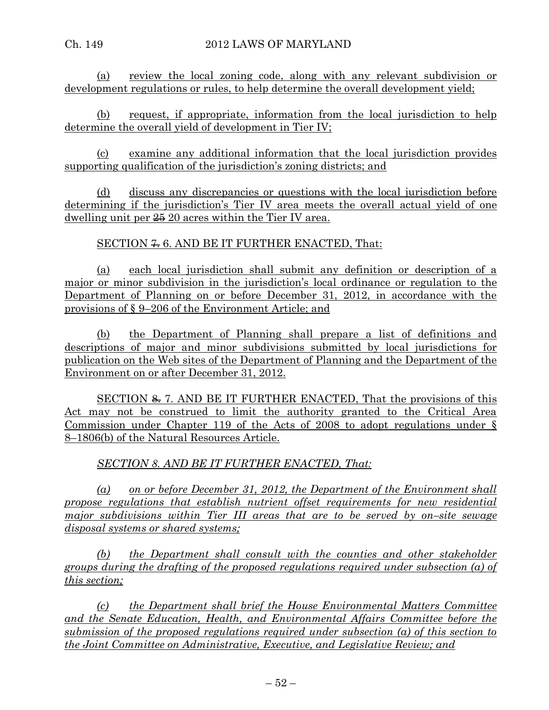(a) review the local zoning code, along with any relevant subdivision or development regulations or rules, to help determine the overall development yield;

(b) request, if appropriate, information from the local jurisdiction to help determine the overall yield of development in Tier IV;

(c) examine any additional information that the local jurisdiction provides supporting qualification of the jurisdiction's zoning districts; and

(d) discuss any discrepancies or questions with the local jurisdiction before determining if the jurisdiction's Tier IV area meets the overall actual yield of one dwelling unit per  $\frac{25}{10}$  20 acres within the Tier IV area.

SECTION  $\neq 6$ . AND BE IT FURTHER ENACTED, That:

(a) each local jurisdiction shall submit any definition or description of a major or minor subdivision in the jurisdiction's local ordinance or regulation to the Department of Planning on or before December 31, 2012, in accordance with the provisions of § 9–206 of the Environment Article; and

(b) the Department of Planning shall prepare a list of definitions and descriptions of major and minor subdivisions submitted by local jurisdictions for publication on the Web sites of the Department of Planning and the Department of the Environment on or after December 31, 2012.

SECTION  $\cong$  7. AND BE IT FURTHER ENACTED, That the provisions of this Act may not be construed to limit the authority granted to the Critical Area Commission under Chapter 119 of the Acts of 2008 to adopt regulations under § 8–1806(b) of the Natural Resources Article.

*SECTION 8. AND BE IT FURTHER ENACTED, That:*

*(a) on or before December 31, 2012, the Department of the Environment shall propose regulations that establish nutrient offset requirements for new residential major subdivisions within Tier III areas that are to be served by on–site sewage disposal systems or shared systems;*

*(b) the Department shall consult with the counties and other stakeholder groups during the drafting of the proposed regulations required under subsection (a) of this section;*

*(c) the Department shall brief the House Environmental Matters Committee and the Senate Education, Health, and Environmental Affairs Committee before the submission of the proposed regulations required under subsection (a) of this section to the Joint Committee on Administrative, Executive, and Legislative Review; and*